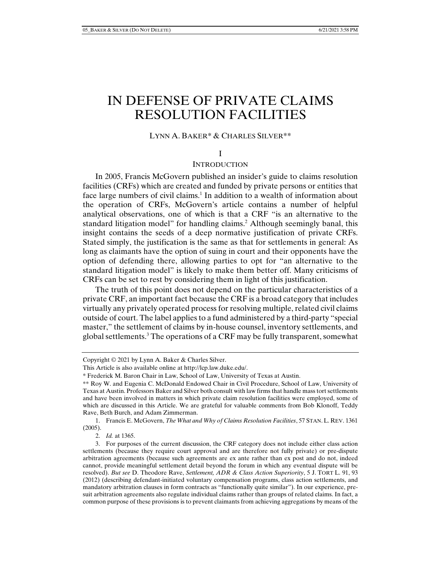# IN DEFENSE OF PRIVATE CLAIMS RESOLUTION FACILITIES

# LYNN A. BAKER\* & CHARLES SILVER\*\*

#### I

## **INTRODUCTION**

In 2005, Francis McGovern published an insider's guide to claims resolution facilities (CRFs) which are created and funded by private persons or entities that face large numbers of civil claims.<sup>1</sup> In addition to a wealth of information about the operation of CRFs, McGovern's article contains a number of helpful analytical observations, one of which is that a CRF "is an alternative to the standard litigation model" for handling claims.<sup>2</sup> Although seemingly banal, this insight contains the seeds of a deep normative justification of private CRFs. Stated simply, the justification is the same as that for settlements in general: As long as claimants have the option of suing in court and their opponents have the option of defending there, allowing parties to opt for "an alternative to the standard litigation model" is likely to make them better off. Many criticisms of CRFs can be set to rest by considering them in light of this justification.

The truth of this point does not depend on the particular characteristics of a private CRF, an important fact because the CRF is a broad category that includes virtually any privately operated process for resolving multiple, related civil claims outside of court. The label applies to a fund administered by a third-party "special master," the settlement of claims by in-house counsel, inventory settlements, and global settlements.3 The operations of a CRF may be fully transparent, somewhat

2. *Id.* at 1365.

Copyright © 2021 by Lynn A. Baker & Charles Silver.

This Article is also available online at http://lcp.law.duke.edu/.

<sup>\*</sup> Frederick M. Baron Chair in Law, School of Law, University of Texas at Austin.

<sup>\*\*</sup> Roy W. and Eugenia C. McDonald Endowed Chair in Civil Procedure, School of Law, University of Texas at Austin. Professors Baker and Silver both consult with law firms that handle mass tort settlements and have been involved in matters in which private claim resolution facilities were employed, some of which are discussed in this Article. We are grateful for valuable comments from Bob Klonoff, Teddy Rave, Beth Burch, and Adam Zimmerman.

 <sup>1.</sup> Francis E. McGovern, *The What and Why of Claims Resolution Facilities*, 57 STAN. L. REV. 1361  $(2005)$ .

 <sup>3.</sup> For purposes of the current discussion, the CRF category does not include either class action settlements (because they require court approval and are therefore not fully private) or pre-dispute arbitration agreements (because such agreements are ex ante rather than ex post and do not, indeed cannot, provide meaningful settlement detail beyond the forum in which any eventual dispute will be resolved). *But see* D. Theodore Rave, *Settlement, ADR & Class Action Superiority*, 5 J. TORT L. 91, 93 (2012) (describing defendant-initiated voluntary compensation programs, class action settlements, and mandatory arbitration clauses in form contracts as "functionally quite similar"). In our experience, presuit arbitration agreements also regulate individual claims rather than groups of related claims. In fact, a common purpose of these provisions is to prevent claimants from achieving aggregations by means of the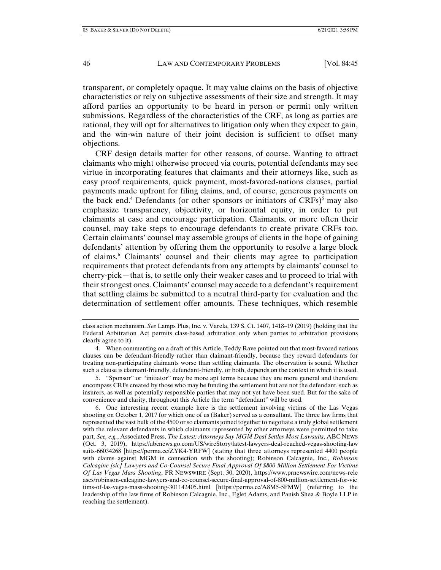transparent, or completely opaque. It may value claims on the basis of objective characteristics or rely on subjective assessments of their size and strength. It may afford parties an opportunity to be heard in person or permit only written submissions. Regardless of the characteristics of the CRF, as long as parties are rational, they will opt for alternatives to litigation only when they expect to gain, and the win-win nature of their joint decision is sufficient to offset many objections.

CRF design details matter for other reasons, of course. Wanting to attract claimants who might otherwise proceed via courts, potential defendants may see virtue in incorporating features that claimants and their attorneys like, such as easy proof requirements, quick payment, most-favored-nations clauses, partial payments made upfront for filing claims, and, of course, generous payments on the back end.<sup>4</sup> Defendants (or other sponsors or initiators of  $CRFs$ )<sup>5</sup> may also emphasize transparency, objectivity, or horizontal equity, in order to put claimants at ease and encourage participation. Claimants, or more often their counsel, may take steps to encourage defendants to create private CRFs too. Certain claimants' counsel may assemble groups of clients in the hope of gaining defendants' attention by offering them the opportunity to resolve a large block of claims.6 Claimants' counsel and their clients may agree to participation requirements that protect defendants from any attempts by claimants' counsel to cherry-pick—that is, to settle only their weaker cases and to proceed to trial with their strongest ones. Claimants' counsel may accede to a defendant's requirement that settling claims be submitted to a neutral third-party for evaluation and the determination of settlement offer amounts. These techniques, which resemble

class action mechanism. *See* Lamps Plus, Inc. v. Varela, 139 S. Ct. 1407, 1418–19 (2019) (holding that the Federal Arbitration Act permits class-based arbitration only when parties to arbitration provisions clearly agree to it).

 <sup>4.</sup> When commenting on a draft of this Article, Teddy Rave pointed out that most-favored nations clauses can be defendant-friendly rather than claimant-friendly, because they reward defendants for treating non-participating claimants worse than settling claimants. The observation is sound. Whether such a clause is claimant-friendly, defendant-friendly, or both, depends on the context in which it is used.

 <sup>5. &</sup>quot;Sponsor" or "initiator" may be more apt terms because they are more general and therefore encompass CRFs created by those who may be funding the settlement but are not the defendant, such as insurers, as well as potentially responsible parties that may not yet have been sued. But for the sake of convenience and clarity, throughout this Article the term "defendant" will be used.

 <sup>6.</sup> One interesting recent example here is the settlement involving victims of the Las Vegas shooting on October 1, 2017 for which one of us (Baker) served as a consultant. The three law firms that represented the vast bulk of the 4500 or so claimants joined together to negotiate a truly global settlement with the relevant defendants in which claimants represented by other attorneys were permitted to take part. *See, e.g.*, Associated Press, *The Latest: Attorneys Say MGM Deal Settles Most Lawsuits*, ABC NEWS (Oct. 3, 2019), https://abcnews.go.com/US/wireStory/latest-lawyers-deal-reached-vegas-shooting-law suits-66034268 [https://perma.cc/ZYK4-YRFW] (stating that three attorneys represented 4400 people with claims against MGM in connection with the shooting); Robinson Calcagnie, Inc., *Robinson Calcagine [sic] Lawyers and Co-Counsel Secure Final Approval Of \$800 Million Settlement For Victims Of Las Vegas Mass Shooting*, PR NEWSWIRE (Sept. 30, 2020), https://www.prnewswire.com/news-rele ases/robinson-calcagine-lawyers-and-co-counsel-secure-final-approval-of-800-million-settlement-for-vic tims-of-las-vegas-mass-shooting-301142405.html [https://perma.cc/A8M5-5FMW] (referring to the leadership of the law firms of Robinson Calcagnie, Inc., Eglet Adams, and Panish Shea & Boyle LLP in reaching the settlement).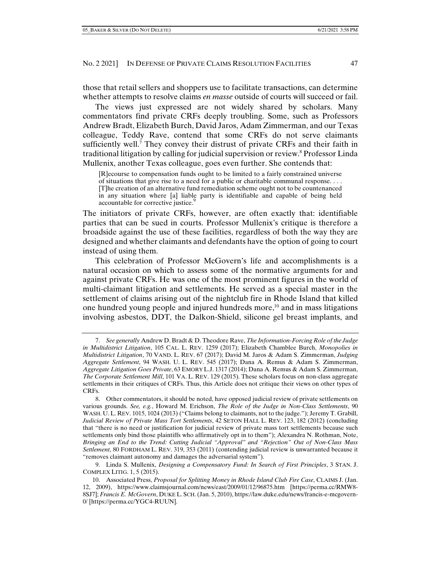those that retail sellers and shoppers use to facilitate transactions, can determine whether attempts to resolve claims *en masse* outside of courts will succeed or fail.

The views just expressed are not widely shared by scholars. Many commentators find private CRFs deeply troubling. Some, such as Professors Andrew Bradt, Elizabeth Burch, David Jaros, Adam Zimmerman, and our Texas colleague, Teddy Rave, contend that some CRFs do not serve claimants sufficiently well.<sup>7</sup> They convey their distrust of private CRFs and their faith in traditional litigation by calling for judicial supervision or review.<sup>8</sup> Professor Linda Mullenix, another Texas colleague, goes even further. She contends that:

[R]ecourse to compensation funds ought to be limited to a fairly constrained universe of situations that give rise to a need for a public or charitable communal response. . . . [T]he creation of an alternative fund remediation scheme ought not to be countenanced in any situation where [a] liable party is identifiable and capable of being held accountable for corrective justice.<sup>9</sup>

The initiators of private CRFs, however, are often exactly that: identifiable parties that can be sued in courts. Professor Mullenix's critique is therefore a broadside against the use of these facilities, regardless of both the way they are designed and whether claimants and defendants have the option of going to court instead of using them.

This celebration of Professor McGovern's life and accomplishments is a natural occasion on which to assess some of the normative arguments for and against private CRFs. He was one of the most prominent figures in the world of multi-claimant litigation and settlements. He served as a special master in the settlement of claims arising out of the nightclub fire in Rhode Island that killed one hundred young people and injured hundreds more, $10$  and in mass litigations involving asbestos, DDT, the Dalkon-Shield, silicone gel breast implants, and

 9. Linda S. Mullenix, *Designing a Compensatory Fund: In Search of First Principles*, 3 STAN. J. COMPLEX LITIG. 1, 5 (2015).

 <sup>7.</sup> *See generally* Andrew D. Bradt & D. Theodore Rave, *The Information-Forcing Role of the Judge in Multidistrict Litigation*, 105 CAL. L. REV. 1259 (2017); Elizabeth Chamblee Burch, *Monopolies in Multidistrict Litigation*, 70 VAND. L. REV. 67 (2017); David M. Jaros & Adam S. Zimmerman, *Judging Aggregate Settlement*, 94 WASH. U. L. REV. 545 (2017); Dana A. Remus & Adam S. Zimmerman, *Aggregate Litigation Goes Private*, 63 EMORY L.J. 1317 (2014); Dana A. Remus & Adam S. Zimmerman, *The Corporate Settlement Mill*, 101 VA. L. REV. 129 (2015). These scholars focus on non-class aggregate settlements in their critiques of CRFs. Thus, this Article does not critique their views on other types of CRFs.

 <sup>8.</sup> Other commentators, it should be noted, have opposed judicial review of private settlements on various grounds. *See, e.g.*, Howard M. Erichson, *The Role of the Judge in Non-Class Settlements*, 90 WASH. U. L. REV. 1015, 1024 (2013) ("Claims belong to claimants, not to the judge."); Jeremy T. Grabill, *Judicial Review of Private Mass Tort Settlements*, 42 SETON HALL L. REV. 123, 182 (2012) (concluding that "there is no need or justification for judicial review of private mass tort settlements because such settlements only bind those plaintiffs who affirmatively opt in to them"); Alexandra N. Rothman, Note, *Bringing an End to the Trend: Cutting Judicial "Approval" and "Rejection" Out of Non-Class Mass Settlement*, 80 FORDHAM L. REV. 319, 353 (2011) (contending judicial review is unwarranted because it "removes claimant autonomy and damages the adversarial system").

 <sup>10.</sup> Associated Press, *Proposal for Splitting Money in Rhode Island Club Fire Case*, CLAIMS J. (Jan. 12, 2009), https://www.claimsjournal.com/news/east/2009/01/12/96875.htm [https://perma.cc/RMW8- 8SJ7]; *Francis E. McGovern*, DUKE L. SCH.(Jan. 5, 2010), https://law.duke.edu/news/francis-e-mcgovern-0/ [https://perma.cc/YGC4-RUUN].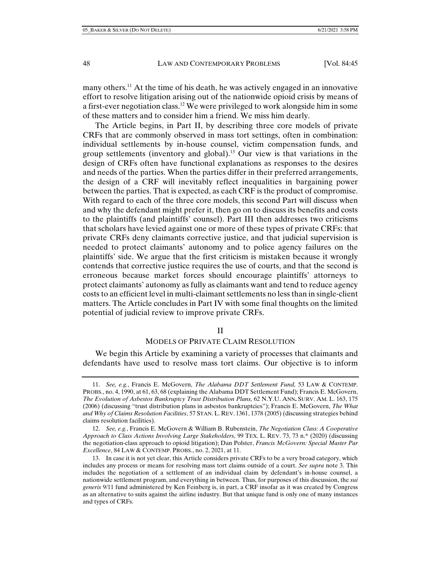many others.11 At the time of his death, he was actively engaged in an innovative effort to resolve litigation arising out of the nationwide opioid crisis by means of a first-ever negotiation class.12 We were privileged to work alongside him in some of these matters and to consider him a friend. We miss him dearly.

The Article begins, in Part II, by describing three core models of private CRFs that are commonly observed in mass tort settings, often in combination: individual settlements by in-house counsel, victim compensation funds, and group settlements (inventory and global).<sup>13</sup> Our view is that variations in the design of CRFs often have functional explanations as responses to the desires and needs of the parties. When the parties differ in their preferred arrangements, the design of a CRF will inevitably reflect inequalities in bargaining power between the parties. That is expected, as each CRF is the product of compromise. With regard to each of the three core models, this second Part will discuss when and why the defendant might prefer it, then go on to discuss its benefits and costs to the plaintiffs (and plaintiffs' counsel). Part III then addresses two criticisms that scholars have levied against one or more of these types of private CRFs: that private CRFs deny claimants corrective justice, and that judicial supervision is needed to protect claimants' autonomy and to police agency failures on the plaintiffs' side. We argue that the first criticism is mistaken because it wrongly contends that corrective justice requires the use of courts, and that the second is erroneous because market forces should encourage plaintiffs' attorneys to protect claimants' autonomy as fully as claimants want and tend to reduce agency costs to an efficient level in multi-claimant settlements no less than in single-client matters. The Article concludes in Part IV with some final thoughts on the limited potential of judicial review to improve private CRFs.

### II

# MODELS OF PRIVATE CLAIM RESOLUTION

We begin this Article by examining a variety of processes that claimants and defendants have used to resolve mass tort claims. Our objective is to inform

 <sup>11.</sup> *See, e.g.*, Francis E. McGovern, *The Alabama DDT Settlement Fund,* 53 LAW & CONTEMP. PROBS., no. 4, 1990, at 61, 63, 68 (explaining the Alabama DDT Settlement Fund); Francis E. McGovern, *The Evolution of Asbestos Bankruptcy Trust Distribution Plans,* 62 N.Y.U. ANN**.** SURV. AM. L. 163, 175 (2006) (discussing "trust distribution plans in asbestos bankruptcies"); Francis E. McGovern, *The What and Why of Claims Resolution Facilities*, 57 STAN. L. REV. 1361, 1378 (2005) (discussing strategies behind claims resolution facilities).

 <sup>12.</sup> *See, e.g.*, Francis E. McGovern & William B. Rubenstein, *The Negotiation Class: A Cooperative Approach to Class Actions Involving Large Stakeholders*, 99 TEX. L. REV. 73, 73 n.\* (2020) (discussing the negotiation-class approach to opioid litigation); Dan Polster, *Francis McGovern: Special Master Par Excellence*, 84 LAW & CONTEMP. PROBS., no. 2, 2021, at 11.

 <sup>13.</sup> In case it is not yet clear, this Article considers private CRFs to be a very broad category, which includes any process or means for resolving mass tort claims outside of a court. *See supra* note 3. This includes the negotiation of a settlement of an individual claim by defendant's in-house counsel, a nationwide settlement program, and everything in between. Thus, for purposes of this discussion, the *sui generis* 9/11 fund administered by Ken Feinberg is, in part, a CRF insofar as it was created by Congress as an alternative to suits against the airline industry. But that unique fund is only one of many instances and types of CRFs.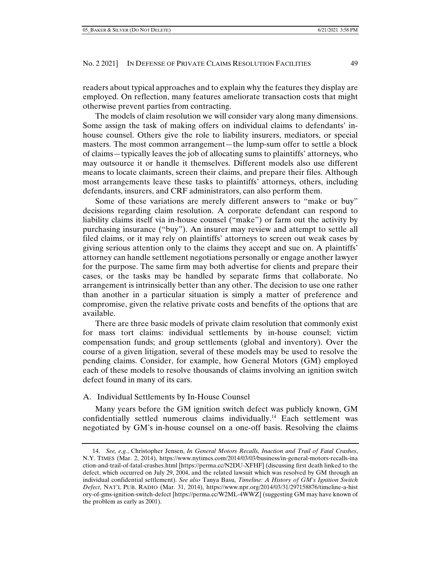readers about typical approaches and to explain why the features they display are employed. On reflection, many features ameliorate transaction costs that might otherwise prevent parties from contracting.

The models of claim resolution we will consider vary along many dimensions. Some assign the task of making offers on individual claims to defendants' inhouse counsel. Others give the role to liability insurers, mediators, or special masters. The most common arrangement—the lump-sum offer to settle a block of claims—typically leaves the job of allocating sums to plaintiffs' attorneys, who may outsource it or handle it themselves. Different models also use different means to locate claimants, screen their claims, and prepare their files. Although most arrangements leave these tasks to plaintiffs' attorneys, others, including defendants, insurers, and CRF administrators, can also perform them.

Some of these variations are merely different answers to "make or buy" decisions regarding claim resolution. A corporate defendant can respond to liability claims itself via in-house counsel ("make") or farm out the activity by purchasing insurance ("buy"). An insurer may review and attempt to settle all filed claims, or it may rely on plaintiffs' attorneys to screen out weak cases by giving serious attention only to the claims they accept and sue on. A plaintiffs' attorney can handle settlement negotiations personally or engage another lawyer for the purpose. The same firm may both advertise for clients and prepare their cases, or the tasks may be handled by separate firms that collaborate. No arrangement is intrinsically better than any other. The decision to use one rather than another in a particular situation is simply a matter of preference and compromise, given the relative private costs and benefits of the options that are available.

There are three basic models of private claim resolution that commonly exist for mass tort claims: individual settlements by in-house counsel; victim compensation funds; and group settlements (global and inventory). Over the course of a given litigation, several of these models may be used to resolve the pending claims. Consider, for example, how General Motors (GM) employed each of these models to resolve thousands of claims involving an ignition switch defect found in many of its cars.

## A. Individual Settlements by In-House Counsel

Many years before the GM ignition switch defect was publicly known, GM confidentially settled numerous claims individually.14 Each settlement was negotiated by GM's in-house counsel on a one-off basis. Resolving the claims

 <sup>14.</sup> *See, e.g.*, Christopher Jensen, *In General Motors Recalls, Inaction and Trail of Fatal Crashes*, N.Y. TIMES (Mar. 2, 2014), https://www.nytimes.com/2014/03/03/business/in-general-motors-recalls-ina ction-and-trail-of-fatal-crashes.html [https://perma.cc/N2DU-XFHF] (discussing first death linked to the defect, which occurred on July 29, 2004, and the related lawsuit which was resolved by GM through an individual confidential settlement). *See also* Tanya Basu, *Timeline: A History of GM's Ignition Switch Defect*, NAT'L PUB. RADIO (Mar. 31, 2014), https://www.npr.org/2014/03/31/297158876/timeline-a-hist ory-of-gms-ignition-switch-defect [https://perma.cc/W2ML-4WWZ] (suggesting GM may have known of the problem as early as 2001).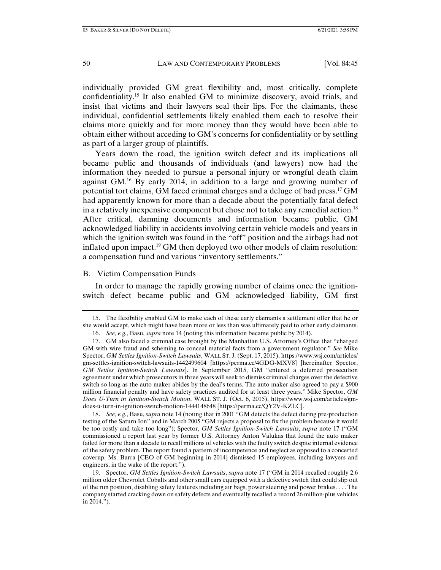individually provided GM great flexibility and, most critically, complete confidentiality.15 It also enabled GM to minimize discovery, avoid trials, and insist that victims and their lawyers seal their lips. For the claimants, these individual, confidential settlements likely enabled them each to resolve their claims more quickly and for more money than they would have been able to obtain either without acceding to GM's concerns for confidentiality or by settling as part of a larger group of plaintiffs.

Years down the road, the ignition switch defect and its implications all became public and thousands of individuals (and lawyers) now had the information they needed to pursue a personal injury or wrongful death claim against GM.16 By early 2014, in addition to a large and growing number of potential tort claims, GM faced criminal charges and a deluge of bad press.17 GM had apparently known for more than a decade about the potentially fatal defect in a relatively inexpensive component but chose not to take any remedial action.<sup>18</sup> After critical, damning documents and information became public, GM acknowledged liability in accidents involving certain vehicle models and years in which the ignition switch was found in the "off" position and the airbags had not inflated upon impact.<sup>19</sup> GM then deployed two other models of claim resolution: a compensation fund and various "inventory settlements."

### B. Victim Compensation Funds

In order to manage the rapidly growing number of claims once the ignitionswitch defect became public and GM acknowledged liability, GM first

 18. *See, e.g.*, Basu, *supra* note 14 (noting that in 2001 "GM detects the defect during pre-production testing of the Saturn Ion" and in March 2005 "GM rejects a proposal to fix the problem because it would be too costly and take too long"); Spector, *GM Settles Ignition-Switch Lawsuits*, *supra* note 17 ("GM commissioned a report last year by former U.S. Attorney Anton Valukas that found the auto maker failed for more than a decade to recall millions of vehicles with the faulty switch despite internal evidence of the safety problem. The report found a pattern of incompetence and neglect as opposed to a concerted coverup. Ms. Barra [CEO of GM beginning in 2014] dismissed 15 employees, including lawyers and engineers, in the wake of the report.").

 19. Spector, *GM Settles Ignition-Switch Lawsuits*, *supra* note 17 ("GM in 2014 recalled roughly 2.6 million older Chevrolet Cobalts and other small cars equipped with a defective switch that could slip out of the run position, disabling safety features including air bags, power steering and power brakes. . . . The company started cracking down on safety defects and eventually recalled a record 26 million-plus vehicles in 2014.").

 <sup>15.</sup> The flexibility enabled GM to make each of these early claimants a settlement offer that he or she would accept, which might have been more or less than was ultimately paid to other early claimants. 16. *See, e.g.*, Basu, *supra* note 14 (noting this information became public by 2014).

 <sup>17.</sup> GM also faced a criminal case brought by the Manhattan U.S. Attorney's Office that "charged GM with wire fraud and scheming to conceal material facts from a government regulator." *See* Mike Spector, *GM Settles Ignition-Switch Lawsuits*, WALL ST. J. (Sept. 17, 2015), https://www.wsj.com/articles/ gm-settles-ignition-switch-lawsuits-1442499604 [https://perma.cc/4GDG-MXV8] [hereinafter Spector, *GM Settles Ignition-Switch Lawsuits*]. In September 2015, GM "entered a deferred prosecution agreement under which prosecutors in three years will seek to dismiss criminal charges over the defective switch so long as the auto maker abides by the deal's terms. The auto maker also agreed to pay a \$900 million financial penalty and have safety practices audited for at least three years." Mike Spector, *GM Does U-Turn in Ignition-Switch Motion*, WALL ST. J. (Oct. 6, 2015), https://www.wsj.com/articles/gmdoes-u-turn-in-ignition-switch-motion-1444148648 [https://perma.cc/ $\overrightarrow{O}Y2\overrightarrow{V}$ -KZLC].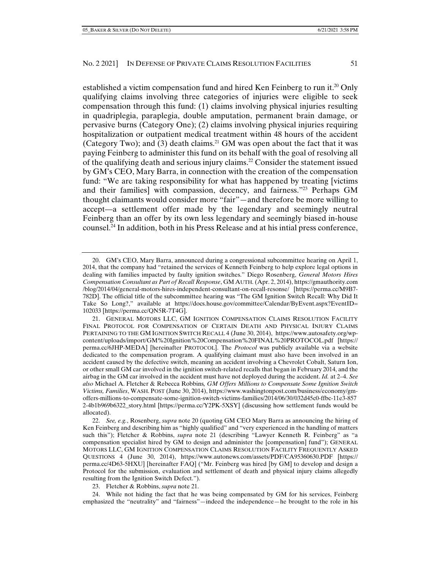established a victim compensation fund and hired Ken Feinberg to run it.<sup>20</sup> Only qualifying claims involving three categories of injuries were eligible to seek compensation through this fund: (1) claims involving physical injuries resulting in quadriplegia, paraplegia, double amputation, permanent brain damage, or pervasive burns (Category One); (2) claims involving physical injuries requiring hospitalization or outpatient medical treatment within 48 hours of the accident (Category Two); and (3) death claims.<sup>21</sup> GM was open about the fact that it was paying Feinberg to administer this fund on its behalf with the goal of resolving all of the qualifying death and serious injury claims.22 Consider the statement issued by GM's CEO, Mary Barra, in connection with the creation of the compensation fund: "We are taking responsibility for what has happened by treating [victims and their families] with compassion, decency, and fairness."23 Perhaps GM thought claimants would consider more "fair"—and therefore be more willing to accept––a settlement offer made by the legendary and seemingly neutral Feinberg than an offer by its own less legendary and seemingly biased in-house counsel.24 In addition, both in his Press Release and at his intial press conference,

 24. While not hiding the fact that he was being compensated by GM for his services, Feinberg emphasized the "neutrality" and "fairness"—indeed the independence—he brought to the role in his

 <sup>20.</sup> GM's CEO, Mary Barra, announced during a congressional subcommittee hearing on April 1, 2014, that the company had "retained the services of Kenneth Feinberg to help explore legal options in dealing with families impacted by faulty ignition switches." Diego Rosenberg, *General Motors Hires Compensation Consultant as Part of Recall Response*, GM AUTH. (Apr. 2, 2014), https://gmauthority.com /blog/2014/04/general-motors-hires-independent-consultant-on-recall-resonse/ [https://perma.cc/M9B7- 782D]. The official title of the subcommittee hearing was "The GM Ignition Switch Recall: Why Did It Take So Long?," available at https://docs.house.gov/committee/Calendar/ByEvent.aspx?EventID= 102033 [https://perma.cc/QN5R-7T4G].

 <sup>21.</sup> GENERAL MOTORS LLC, GM IGNITION COMPENSATION CLAIMS RESOLUTION FACILITY FINAL PROTOCOL FOR COMPENSATION OF CERTAIN DEATH AND PHYSICAL INJURY CLAIMS PERTAINING TO THE GM IGNITION SWITCH RECALL 4 (June 30, 2014), https://www.autosafety.org/wpcontent/uploads/import/GM%20Ignition%20Compensation%20FINAL%20PROTOCOL.pdf [https:// perma.cc/6JHP-MEDA] [hereinafter PROTOCOL]. The *Protocol* was publicly available via a website dedicated to the compensation program. A qualifying claimant must also have been involved in an accident caused by the defective switch, meaning an accident involving a Chevrolet Cobalt, Saturn Ion, or other small GM car involved in the ignition switch-related recalls that began in February 2014, and the airbag in the GM car involved in the accident must have not deployed during the accident. *Id.* at 2–4. *See also* Michael A. Fletcher & Rebecca Robbins*, GM Offers Millions to Compensate Some Ignition Switch Victims, Families*, WASH. POST (June 30, 2014), https://www.washingtonpost.com/business/economy/gmoffers-millions-to-compensate-some-ignition-switch-victims-families/2014/06/30/032d45c0-ffbc-11e3-857 2-4b1b969b6322\_story.html [https://perma.cc/Y2PK-5XSY] (discussing how settlement funds would be allocated).

 <sup>22.</sup> *See, e.g.*, Rosenberg, *supra* note 20 (quoting GM CEO Mary Barra as announcing the hiring of Ken Feinberg and describing him as "highly qualified" and "very experienced in the handling of matters such this"); Fletcher & Robbins, *supra* note 21 (describing "Lawyer Kenneth R. Feinberg" as "a compensation specialist hired by GM to design and administer the [compensation] fund"); GENERAL MOTORS LLC, GM IGNITION COMPENSATION CLAIMS RESOLUTION FACILITY FREQUENTLY ASKED QUESTIONS 4 (June 30, 2014), https://www.autonews.com/assets/PDF/CA95360630.PDF [https:// perma.cc/4D63-5HXU] [hereinafter FAQ] ("Mr. Feinberg was hired [by GM] to develop and design a Protocol for the submission, evaluation and settlement of death and physical injury claims allegedly resulting from the Ignition Switch Defect.").

 <sup>23.</sup> Fletcher & Robbins, *supra* note 21.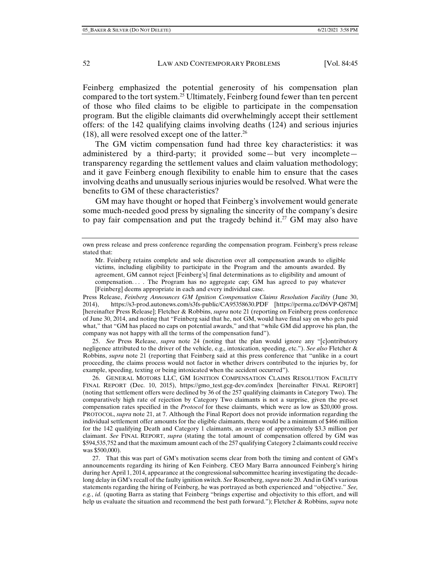Feinberg emphasized the potential generosity of his compensation plan compared to the tort system.<sup>25</sup> Ultimately, Feinberg found fewer than ten percent of those who filed claims to be eligible to participate in the compensation program. But the eligible claimants did overwhelmingly accept their settlement offers: of the 142 qualifying claims involving deaths (124) and serious injuries  $(18)$ , all were resolved except one of the latter.<sup>26</sup>

The GM victim compensation fund had three key characteristics: it was administered by a third-party; it provided some—but very incomplete transparency regarding the settlement values and claim valuation methodology; and it gave Feinberg enough flexibility to enable him to ensure that the cases involving deaths and unusually serious injuries would be resolved. What were the benefits to GM of these characteristics?

GM may have thought or hoped that Feinberg's involvement would generate some much-needed good press by signaling the sincerity of the company's desire to pay fair compensation and put the tragedy behind it.<sup>27</sup> GM may also have

Press Release, *Feinberg Announces GM Ignition Compensation Claims Resolution Facility* (June 30, 2014), https://s3-prod.autonews.com/s3fs-public/CA95358630.PDF [https://perma.cc/D6VP-Q87M] [hereinafter Press Release]; Fletcher & Robbins, *supra* note 21 (reporting on Feinberg press conference of June 30, 2014, and noting that "Feinberg said that he, not GM, would have final say on who gets paid what," that "GM has placed no caps on potential awards," and that "while GM did approve his plan, the company was not happy with all the terms of the compensation fund").

 25. *See* Press Release, *supra* note 24 (noting that the plan would ignore any "[c]ontributory negligence attributed to the driver of the vehicle, e.g., intoxication, speeding, etc."). *See also* Fletcher & Robbins, *supra* note 21 (reporting that Feinberg said at this press conference that "unlike in a court proceeding, the claims process would not factor in whether drivers contributed to the injuries by, for example, speeding, texting or being intoxicated when the accident occurred").

 26. GENERAL MOTORS LLC, GM IGNITION COMPENSATION CLAIMS RESOLUTION FACILITY FINAL REPORT (Dec. 10, 2015), https://gmo\_test.gcg-dev.com/index [hereinafter FINAL REPORT] (noting that settlement offers were declined by 36 of the 257 qualifying claimants in Category Two). The comparatively high rate of rejection by Category Two claimants is not a surprise, given the pre-set compensation rates specified in the *Protocol* for these claimants, which were as low as \$20,000 gross. PROTOCOL, *supra* note 21, at 7. Although the Final Report does not provide information regarding the individual settlement offer amounts for the eligible claimants, there would be a minimum of \$466 million for the 142 qualifying Death and Category 1 claimants, an average of approximately \$3.3 million per claimant. *See* FINAL REPORT, *supra* (stating the total amount of compensation offered by GM was \$594,535,752 and that the maximum amount each of the 257 qualifying Category 2 claimants could receive was \$500,000).

 27. That this was part of GM's motivation seems clear from both the timing and content of GM's announcements regarding its hiring of Ken Feinberg. CEO Mary Barra announced Feinberg's hiring during her April 1, 2014, appearance at the congressional subcommittee hearing investigating the decadelong delay in GM's recall of the faulty ignition switch. *See* Rosenberg, *supra* note 20. And in GM's various statements regarding the hiring of Feinberg, he was portrayed as both experienced and "objective." *See, e.g.*, *id.* (quoting Barra as stating that Feinberg "brings expertise and objectivity to this effort, and will help us evaluate the situation and recommend the best path forward."); Fletcher & Robbins, *supra* note

own press release and press conference regarding the compensation program. Feinberg's press release stated that:

Mr. Feinberg retains complete and sole discretion over all compensation awards to eligible victims, including eligibility to participate in the Program and the amounts awarded. By agreement, GM cannot reject [Feinberg's] final determinations as to eligibility and amount of compensation. . . . The Program has no aggregate cap; GM has agreed to pay whatever [Feinberg] deems appropriate in each and every individual case.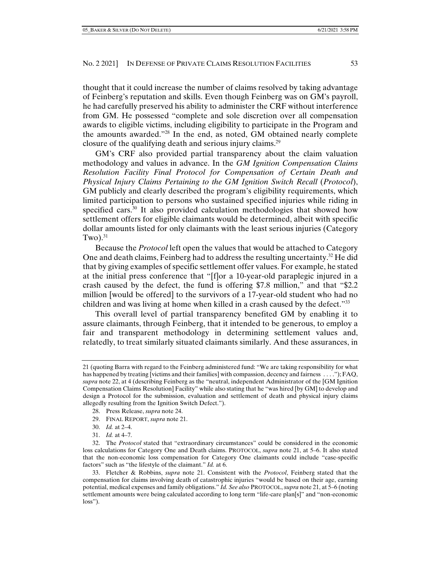thought that it could increase the number of claims resolved by taking advantage of Feinberg's reputation and skills. Even though Feinberg was on GM's payroll, he had carefully preserved his ability to administer the CRF without interference from GM. He possessed "complete and sole discretion over all compensation awards to eligible victims, including eligibility to participate in the Program and the amounts awarded."28 In the end, as noted, GM obtained nearly complete closure of the qualifying death and serious injury claims.29

GM's CRF also provided partial transparency about the claim valuation methodology and values in advance. In the *GM Ignition Compensation Claims Resolution Facility Final Protocol for Compensation of Certain Death and Physical Injury Claims Pertaining to the GM Ignition Switch Recall* (*Protocol*), GM publicly and clearly described the program's eligibility requirements, which limited participation to persons who sustained specified injuries while riding in specified cars.<sup>30</sup> It also provided calculation methodologies that showed how settlement offers for eligible claimants would be determined, albeit with specific dollar amounts listed for only claimants with the least serious injuries (Category Two). $31$ 

Because the *Protocol* left open the values that would be attached to Category One and death claims, Feinberg had to address the resulting uncertainty.<sup>32</sup> He did that by giving examples of specific settlement offer values. For example, he stated at the initial press conference that "[f]or a 10-year-old paraplegic injured in a crash caused by the defect, the fund is offering \$7.8 million," and that "\$2.2 million [would be offered] to the survivors of a 17-year-old student who had no children and was living at home when killed in a crash caused by the defect."33

This overall level of partial transparency benefited GM by enabling it to assure claimants, through Feinberg, that it intended to be generous, to employ a fair and transparent methodology in determining settlement values and, relatedly, to treat similarly situated claimants similarly. And these assurances, in

- 28. Press Release, *supra* note 24.
- 29. FINAL REPORT, *supra* note 21.
- 30. *Id.* at 2–4.
- 31. *Id.* at 4–7.

<sup>21 (</sup>quoting Barra with regard to the Feinberg administered fund: "We are taking responsibility for what has happened by treating [victims and their families] with compassion, decency and fairness . . . ."); FAQ, *supra* note 22, at 4 (describing Feinberg as the "neutral, independent Administrator of the [GM Ignition Compensation Claims Resolution] Facility" while also stating that he "was hired [by GM] to develop and design a Protocol for the submission, evaluation and settlement of death and physical injury claims allegedly resulting from the Ignition Switch Defect.").

 <sup>32.</sup> The *Protocol* stated that "extraordinary circumstances" could be considered in the economic loss calculations for Category One and Death claims. PROTOCOL, *supra* note 21, at 5–6. It also stated that the non-economic loss compensation for Category One claimants could include "case-specific factors" such as "the lifestyle of the claimant." *Id.* at 6.

 <sup>33.</sup> Fletcher & Robbins, *supra* note 21. Consistent with the *Protocol*, Feinberg stated that the compensation for claims involving death of catastrophic injuries "would be based on their age, earning potential, medical expenses and family obligations." *Id. See also* PROTOCOL, *supra* note 21, at 5–6 (noting settlement amounts were being calculated according to long term "life-care plan[s]" and "non-economic loss").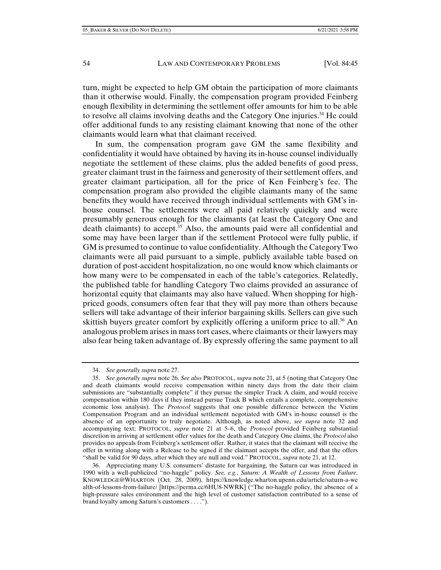turn, might be expected to help GM obtain the participation of more claimants than it otherwise would. Finally, the compensation program provided Feinberg enough flexibility in determining the settlement offer amounts for him to be able to resolve all claims involving deaths and the Category One injuries.34 He could offer additional funds to any resisting claimant knowing that none of the other claimants would learn what that claimant received.

In sum, the compensation program gave GM the same flexibility and confidentiality it would have obtained by having its in-house counsel individually negotiate the settlement of these claims, plus the added benefits of good press, greater claimant trust in the fairness and generosity of their settlement offers, and greater claimant participation, all for the price of Ken Feinberg's fee. The compensation program also provided the eligible claimants many of the same benefits they would have received through individual settlements with GM's inhouse counsel. The settlements were all paid relatively quickly and were presumably generous enough for the claimants (at least the Category One and death claimants) to accept.<sup>35</sup> Also, the amounts paid were all confidential and some may have been larger than if the settlement Protocol were fully public, if GM is presumed to continue to value confidentiality. Although the Category Two claimants were all paid pursuant to a simple, publicly available table based on duration of post-accident hospitalization, no one would know which claimants or how many were to be compensated in each of the table's categories. Relatedly, the published table for handling Category Two claims provided an assurance of horizontal equity that claimants may also have valued. When shopping for highpriced goods, consumers often fear that they will pay more than others because sellers will take advantage of their inferior bargaining skills. Sellers can give such skittish buyers greater comfort by explicitly offering a uniform price to all.<sup>36</sup> An analogous problem arises in mass tort cases, where claimants or their lawyers may also fear being taken advantage of. By expressly offering the same payment to all

 36. Appreciating many U.S. consumers' distaste for bargaining, the Saturn car was introduced in 1990 with a well-publicized "no-haggle" policy*. See, e.g.*, *Saturn: A Wealth of Lessons from Failure*, KNOWLEDGE@WHARTON (Oct. 28, 2009), https://knowledge.wharton.upenn.edu/article/saturn-a-we alth-of-lessons-from-failure/ [https://perma.cc/6HU8-NWRK] ("The no-haggle policy, the absence of a high-pressure sales environment and the high level of customer satisfaction contributed to a sense of brand loyalty among Saturn's customers . . . .").

 <sup>34.</sup> *See generally supra* note 27.

 <sup>35.</sup> *See generally supra* note 26. *See also* PROTOCOL, *supra* note 21, at 5 (noting that Category One and death claimants would receive compensation within ninety days from the date their claim submissions are "substantially complete" if they pursue the simpler Track A claim, and would receive compensation within 180 days if they instead pursue Track B which entails a complete, comprehensive economic loss analysis). The *Protocol* suggests that one possible difference between the Victim Compensation Program and an individual settlement negotiated with GM's in-house counsel is the absence of an opportunity to truly negotiate. Although, as noted above, *see supra* note 32 and accompanying text; PROTOCOL, *supra* note 21 at 5–6, the *Protocol* provided Feinberg substantial discretion in arriving at settlement offer values for the death and Category One claims, the *Protocol* also provides no appeals from Feinberg's settlement offer. Rather, it states that the claimant will receive the offer in writing along with a Release to be signed if the claimant accepts the offer, and that the offers "shall be valid for 90 days, after which they are null and void." PROTOCOL, *supra* note 21, at 12.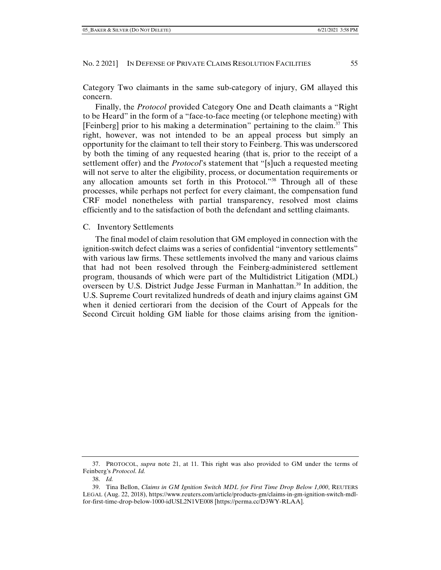Category Two claimants in the same sub-category of injury, GM allayed this concern.

Finally, the *Protocol* provided Category One and Death claimants a "Right to be Heard" in the form of a "face-to-face meeting (or telephone meeting) with [Feinberg] prior to his making a determination" pertaining to the claim.37 This right, however, was not intended to be an appeal process but simply an opportunity for the claimant to tell their story to Feinberg. This was underscored by both the timing of any requested hearing (that is, prior to the receipt of a settlement offer) and the *Protocol*'s statement that "[s]uch a requested meeting will not serve to alter the eligibility, process, or documentation requirements or any allocation amounts set forth in this Protocol."38 Through all of these processes, while perhaps not perfect for every claimant, the compensation fund CRF model nonetheless with partial transparency, resolved most claims efficiently and to the satisfaction of both the defendant and settling claimants.

## C. Inventory Settlements

The final model of claim resolution that GM employed in connection with the ignition-switch defect claims was a series of confidential "inventory settlements" with various law firms. These settlements involved the many and various claims that had not been resolved through the Feinberg-administered settlement program, thousands of which were part of the Multidistrict Litigation (MDL) overseen by U.S. District Judge Jesse Furman in Manhattan.39 In addition, the U.S. Supreme Court revitalized hundreds of death and injury claims against GM when it denied certiorari from the decision of the Court of Appeals for the Second Circuit holding GM liable for those claims arising from the ignition-

 <sup>37.</sup> PROTOCOL, *supra* note 21, at 11. This right was also provided to GM under the terms of Feinberg's *Protocol*. *Id.*

 <sup>38.</sup> *Id.*

 <sup>39.</sup> Tina Bellon, *Claims in GM Ignition Switch MDL for First Time Drop Below 1,000*, REUTERS LEGAL (Aug. 22, 2018), https://www.reuters.com/article/products-gm/claims-in-gm-ignition-switch-mdlfor-first-time-drop-below-1000-idUSL2N1VE008 [https://perma.cc/D3WY-RLAA].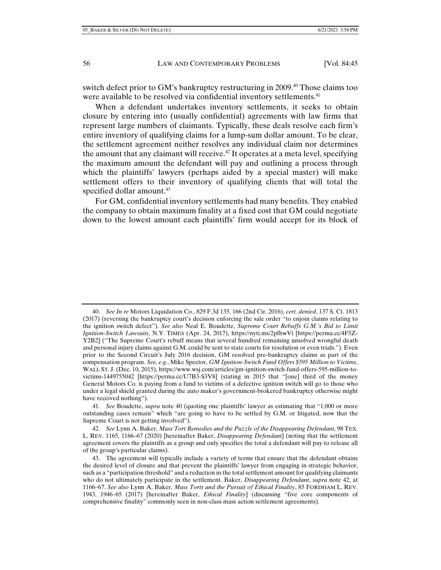switch defect prior to GM's bankruptcy restructuring in 2009.<sup>40</sup> Those claims too were available to be resolved via confidential inventory settlements.<sup>41</sup>

When a defendant undertakes inventory settlements, it seeks to obtain closure by entering into (usually confidential) agreements with law firms that represent large numbers of claimants. Typically, these deals resolve each firm's entire inventory of qualifying claims for a lump-sum dollar amount. To be clear, the settlement agreement neither resolves any individual claim nor determines the amount that any claimant will receive.<sup>42</sup> It operates at a meta level, specifying the maximum amount the defendant will pay and outlining a process through which the plaintiffs' lawyers (perhaps aided by a special master) will make settlement offers to their inventory of qualifying clients that will total the specified dollar amount.<sup>43</sup>

For GM, confidential inventory settlements had many benefits. They enabled the company to obtain maximum finality at a fixed cost that GM could negotiate down to the lowest amount each plaintiffs' firm would accept for its block of

 <sup>40.</sup> *See In re* Motors Liquidation Co., 829 F.3d 135, 166 (2nd Cir. 2016), *cert. denied*, 137 S. Ct. 1813 (2017) (reversing the bankruptcy court's decision enforcing the sale order "to enjoin claims relating to the ignition switch defect"). *See also* Neal E. Boudette, *Supreme Court Rebuffs G.M.'s Bid to Limit Ignition-Switch Lawsuits*, N.Y. TIMES (Apr. 24, 2017), https://nyti.ms/2pfhwVi [https://perma.cc/4F5Z-Y2B2] ("The Supreme Court's rebuff means that several hundred remaining unsolved wrongful death and personal injury claims against G.M. could be sent to state courts for resolution or even trials."). Even prior to the Second Circuit's July 2016 decision, GM resolved pre-bankruptcy claims as part of the compensation program. *See, e.g.*, Mike Spector, *GM Ignition-Switch Fund Offers \$595 Million to Victims*, WALL ST. J. (Dec. 10, 2015), https://www.wsj.com/articles/gm-ignition-switch-fund-offers-595-million-tovictims-1449755042 [https://perma.cc/U7B3-S3V8] (stating in 2015 that "[one] third of the money General Motors Co. is paying from a fund to victims of a defective ignition switch will go to those who under a legal shield granted during the auto maker's government-brokered bankruptcy otherwise might have received nothing").

 <sup>41.</sup> *See* Boudette, *supra* note 40 (quoting one plaintiffs' lawyer as estimating that "1,000 or more outstanding cases remain" which "are going to have to be settled by G.M. or litigated, now that the Supreme Court is not getting involved").

 <sup>42.</sup> *See* Lynn A. Baker, *Mass Tort Remedies and the Puzzle of the Disappearing Defendant*, 98 TEX. L. REV. 1165, 1166–67 (2020) [hereinafter Baker, *Disappearing Defendant*] (noting that the settlement agreement covers the plaintiffs as a group and only specifies the total a defendant will pay to release all of the group's particular claims).

 <sup>43.</sup> The agreement will typically include a variety of terms that ensure that the defendant obtains the desired level of closure and that prevent the plaintiffs' lawyer from engaging in strategic behavior, such as a "participation threshold" and a reduction in the total settlement amount for qualifying claimants who do not ultimately participate in the settlement. Baker, *Disappearing Defendant*, *supra* note 42, at 1166–67. *See also* Lynn A. Baker, *Mass Torts and the Pursuit of Ethical Finality*, 85 FORDHAM L. REV. 1943, 1946–65 (2017) [hereinafter Baker, *Ethical Finality*] (discussing "five core components of comprehensive finality" commonly seen in non-class mass action settlement agreements).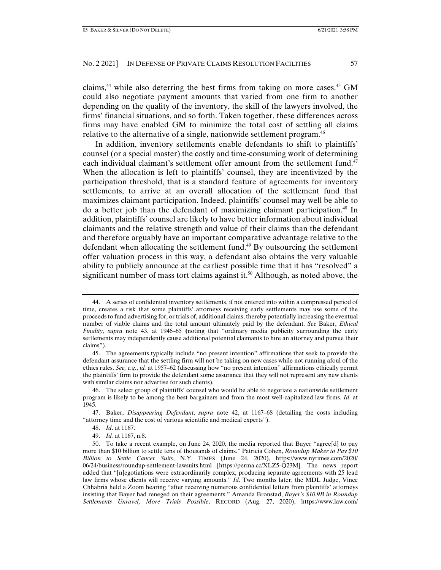claims,<sup>44</sup> while also deterring the best firms from taking on more cases.<sup>45</sup> GM could also negotiate payment amounts that varied from one firm to another depending on the quality of the inventory, the skill of the lawyers involved, the firms' financial situations, and so forth. Taken together, these differences across firms may have enabled GM to minimize the total cost of settling all claims relative to the alternative of a single, nationwide settlement program.<sup>46</sup>

In addition, inventory settlements enable defendants to shift to plaintiffs' counsel (or a special master) the costly and time-consuming work of determining each individual claimant's settlement offer amount from the settlement fund.<sup>47</sup> When the allocation is left to plaintiffs' counsel, they are incentivized by the participation threshold, that is a standard feature of agreements for inventory settlements, to arrive at an overall allocation of the settlement fund that maximizes claimant participation. Indeed, plaintiffs' counsel may well be able to do a better job than the defendant of maximizing claimant participation.<sup>48</sup> In addition, plaintiffs' counsel are likely to have better information about individual claimants and the relative strength and value of their claims than the defendant and therefore arguably have an important comparative advantage relative to the defendant when allocating the settlement fund.<sup>49</sup> By outsourcing the settlement offer valuation process in this way, a defendant also obtains the very valuable ability to publicly announce at the earliest possible time that it has "resolved" a significant number of mass tort claims against it.<sup>50</sup> Although, as noted above, the

 <sup>44.</sup> A series of confidential inventory settlements, if not entered into within a compressed period of time, creates a risk that some plaintiffs' attorneys receiving early settlements may use some of the proceeds to fund advertising for, or trials of, additional claims, thereby potentially increasing the eventual number of viable claims and the total amount ultimately paid by the defendant. *See* Baker, *Ethical Finality*, *supra* note 43, at 1946–65 **(**noting that "ordinary media publicity surrounding the early settlements may independently cause additional potential claimants to hire an attorney and pursue their claims").

 <sup>45.</sup> The agreements typically include "no present intention" affirmations that seek to provide the defendant assurance that the settling firm will not be taking on new cases while not running afoul of the ethics rules. *See, e.g.*, *id.* at 1957–62 (discussing how "no present intention" affirmations ethically permit the plaintiffs' firm to provide the defendant some assurance that they will not represent any new clients with similar claims nor advertise for such clients).

 <sup>46.</sup> The select group of plaintiffs' counsel who would be able to negotiate a nationwide settlement program is likely to be among the best bargainers and from the most well-capitalized law firms. *Id*. at 1945.

 <sup>47.</sup> Baker, *Disappearing Defendant*, *supra* note 42, at 1167–68 (detailing the costs including "attorney time and the cost of various scientific and medical experts").

 <sup>48.</sup> *Id*. at 1167.

 <sup>49.</sup> *Id.* at 1167, n.8.

 <sup>50.</sup> To take a recent example, on June 24, 2020, the media reported that Bayer "agree[d] to pay more than \$10 billion to settle tens of thousands of claims." Patricia Cohen, *Roundup Maker to Pay \$10 Billion to Settle Cancer Suits*, N.Y. TIMES (June 24, 2020), https://www.nytimes.com/2020/ 06/24/business/roundup-settlement-lawsuits.html [https://perma.cc/XLZ5-Q23M]. The news report added that "[n]egotiations were extraordinarily complex, producing separate agreements with 25 lead law firms whose clients will receive varying amounts." *Id*. Two months later, the MDL Judge, Vince Chhabria held a Zoom hearing "after receiving numerous confidential letters from plaintiffs' attorneys insisting that Bayer had reneged on their agreements." Amanda Bronstad, *Bayer's \$10.9B in Roundup Settlements Unravel, More Trials Possible*, RECORD (Aug. 27, 2020), https://www.law.com/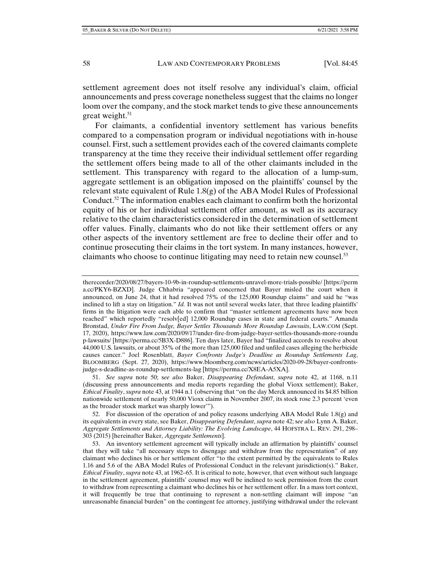settlement agreement does not itself resolve any individual's claim, official announcements and press coverage nonetheless suggest that the claims no longer loom over the company, and the stock market tends to give these announcements great weight.<sup>51</sup>

For claimants, a confidential inventory settlement has various benefits compared to a compensation program or individual negotiations with in-house counsel. First, such a settlement provides each of the covered claimants complete transparency at the time they receive their individual settlement offer regarding the settlement offers being made to all of the other claimants included in the settlement. This transparency with regard to the allocation of a lump-sum, aggregate settlement is an obligation imposed on the plaintiffs' counsel by the relevant state equivalent of Rule 1.8(g) of the ABA Model Rules of Professional Conduct.<sup>52</sup> The information enables each claimant to confirm both the horizontal equity of his or her individual settlement offer amount, as well as its accuracy relative to the claim characteristics considered in the determination of settlement offer values. Finally, claimants who do not like their settlement offers or any other aspects of the inventory settlement are free to decline their offer and to continue prosecuting their claims in the tort system. In many instances, however, claimants who choose to continue litigating may need to retain new counsel.<sup>53</sup>

therecorder/2020/08/27/bayers-10-9b-in-roundup-settlements-unravel-more-trials-possible/ [https://perm a.cc/PKY6-BZXD]. Judge Chhabria "appeared concerned that Bayer misled the court when it announced, on June 24, that it had resolved 75% of the 125,000 Roundup claims" and said he "was inclined to lift a stay on litigation." *Id.* It was not until several weeks later, that three leading plaintiffs' firms in the litigation were each able to confirm that "master settlement agreements have now been reached" which reportedly "resolv[ed] 12,000 Roundup cases in state and federal courts." Amanda Bronstad, *Under Fire From Judge, Bayer Settles Thousands More Roundup Lawsuits*, LAW.COM (Sept. 17, 2020), https://www.law.com/2020/09/17/under-fire-from-judge-bayer-settles-thousands-more-roundu p-lawsuits/ [https://perma.cc/5B3X-D886]. Ten days later, Bayer had "finalized accords to resolve about 44,000 U.S. lawsuits, or about 35% of the more than 125,000 filed and unfiled cases alleging the herbicide causes cancer." Joel Rosenblatt, *Bayer Confronts Judge's Deadline as Roundup Settlements Lag*, BLOOMBERG (Sept. 27, 2020), https://www.bloomberg.com/news/articles/2020-09-28/bayer-confrontsjudge-s-deadline-as-roundup-settlements-lag [https://perma.cc/X8EA-A5XA].

 51. *See supra* note 50; s*ee also* Baker, *Disappearing Defendant*, *supra* note 42, at 1168, n.11 (discussing press announcements and media reports regarding the global Vioxx settlement); Baker, *Ethical Finality*, *supra* note 43, at 1944 n.1 (observing that "on the day Merck announced its \$4.85 billion nationwide settlement of nearly 50,000 Vioxx claims in November 2007, its stock rose 2.3 percent 'even as the broader stock market was sharply lower'").

 52. For discussion of the operation of and policy reasons underlying ABA Model Rule 1.8(g) and its equivalents in every state, see Baker, *Disappearing Defendant*, *supra* note 42; s*ee also* Lynn A. Baker, *Aggregate Settlements and Attorney Liability: The Evolving Landscape*, 44 HOFSTRA L. REV. 291, 298– 303 (2015) [hereinafter Baker, *Aggregate Settlements*].

 53. An inventory settlement agreement will typically include an affirmation by plaintiffs' counsel that they will take "all necessary steps to disengage and withdraw from the representation" of any claimant who declines his or her settlement offer "to the extent permitted by the equivalents to Rules 1.16 and 5.6 of the ABA Model Rules of Professional Conduct in the relevant jurisdiction(s)." Baker, *Ethical Finality*, *supra* note 43, at 1962–65. It is critical to note, however, that even without such language in the settlement agreement, plaintiffs' counsel may well be inclined to seek permission from the court to withdraw from representing a claimant who declines his or her settlement offer. In a mass tort context, it will frequently be true that continuing to represent a non-settling claimant will impose "an unreasonable financial burden" on the contingent fee attorney, justifying withdrawal under the relevant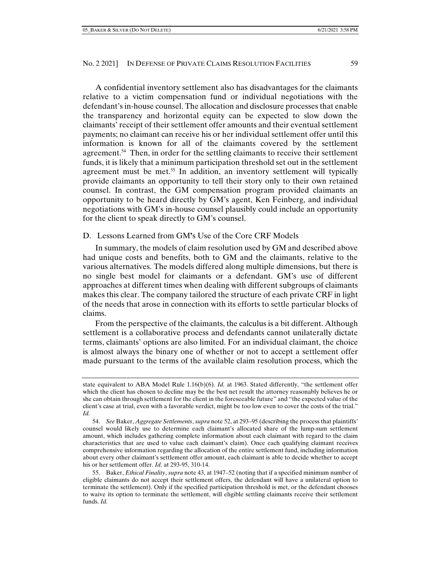A confidential inventory settlement also has disadvantages for the claimants relative to a victim compensation fund or individual negotiations with the defendant's in-house counsel. The allocation and disclosure processes that enable the transparency and horizontal equity can be expected to slow down the claimants' receipt of their settlement offer amounts and their eventual settlement payments; no claimant can receive his or her individual settlement offer until this information is known for all of the claimants covered by the settlement agreement.54 Then, in order for the settling claimants to receive their settlement funds, it is likely that a minimum participation threshold set out in the settlement agreement must be met.<sup>55</sup> In addition, an inventory settlement will typically provide claimants an opportunity to tell their story only to their own retained counsel. In contrast, the GM compensation program provided claimants an opportunity to be heard directly by GM's agent, Ken Feinberg, and individual negotiations with GM's in-house counsel plausibly could include an opportunity for the client to speak directly to GM's counsel.

## D. Lessons Learned from GM**'**s Use of the Core CRF Models

In summary, the models of claim resolution used by GM and described above had unique costs and benefits, both to GM and the claimants, relative to the various alternatives. The models differed along multiple dimensions, but there is no single best model for claimants or a defendant. GM's use of different approaches at different times when dealing with different subgroups of claimants makes this clear. The company tailored the structure of each private CRF in light of the needs that arose in connection with its efforts to settle particular blocks of claims.

From the perspective of the claimants, the calculus is a bit different. Although settlement is a collaborative process and defendants cannot unilaterally dictate terms, claimants' options are also limited. For an individual claimant, the choice is almost always the binary one of whether or not to accept a settlement offer made pursuant to the terms of the available claim resolution process, which the

state equivalent to ABA Model Rule 1.16(b)(6). *Id.* at 1963. Stated differently, "the settlement offer which the client has chosen to decline may be the best net result the attorney reasonably believes he or she can obtain through settlement for the client in the foreseeable future" and "the expected value of the client's case at trial, even with a favorable verdict, might be too low even to cover the costs of the trial." *Id.*

 <sup>54.</sup> *See* Baker, *Aggregate Settlements*, *supra* note 52, at 293–95 (describing the process that plaintiffs' counsel would likely use to determine each claimant's allocated share of the lump-sum settlement amount, which includes gathering complete information about each claimant with regard to the claim characteristics that are used to value each claimant's claim). Once each qualifying claimant receives comprehensive information regarding the allocation of the entire settlement fund, including information about every other claimant's settlement offer amount, each claimant is able to decide whether to accept his or her settlement offer. *Id*. at 293-95, 310-14.

 <sup>55.</sup> Baker, *Ethical Finality*, *supra* note 43, at 1947–52 (noting that if a specified minimum number of eligible claimants do not accept their settlement offers, the defendant will have a unilateral option to terminate the settlement). Only if the specified participation threshold is met, or the defendant chooses to waive its option to terminate the settlement, will eligible settling claimants receive their settlement funds. *Id.*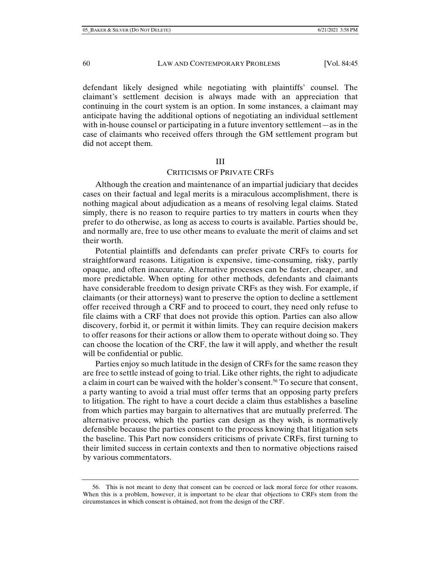defendant likely designed while negotiating with plaintiffs' counsel. The claimant's settlement decision is always made with an appreciation that continuing in the court system is an option. In some instances, a claimant may anticipate having the additional options of negotiating an individual settlement with in-house counsel or participating in a future inventory settlement—as in the case of claimants who received offers through the GM settlement program but did not accept them.

#### III

## CRITICISMS OF PRIVATE CRFS

Although the creation and maintenance of an impartial judiciary that decides cases on their factual and legal merits is a miraculous accomplishment, there is nothing magical about adjudication as a means of resolving legal claims. Stated simply, there is no reason to require parties to try matters in courts when they prefer to do otherwise, as long as access to courts is available. Parties should be, and normally are, free to use other means to evaluate the merit of claims and set their worth.

Potential plaintiffs and defendants can prefer private CRFs to courts for straightforward reasons. Litigation is expensive, time-consuming, risky, partly opaque, and often inaccurate. Alternative processes can be faster, cheaper, and more predictable. When opting for other methods, defendants and claimants have considerable freedom to design private CRFs as they wish. For example, if claimants (or their attorneys) want to preserve the option to decline a settlement offer received through a CRF and to proceed to court, they need only refuse to file claims with a CRF that does not provide this option. Parties can also allow discovery, forbid it, or permit it within limits. They can require decision makers to offer reasons for their actions or allow them to operate without doing so. They can choose the location of the CRF, the law it will apply, and whether the result will be confidential or public.

Parties enjoy so much latitude in the design of CRFs for the same reason they are free to settle instead of going to trial. Like other rights, the right to adjudicate a claim in court can be waived with the holder's consent.<sup>56</sup> To secure that consent, a party wanting to avoid a trial must offer terms that an opposing party prefers to litigation. The right to have a court decide a claim thus establishes a baseline from which parties may bargain to alternatives that are mutually preferred. The alternative process, which the parties can design as they wish, is normatively defensible because the parties consent to the process knowing that litigation sets the baseline. This Part now considers criticisms of private CRFs, first turning to their limited success in certain contexts and then to normative objections raised by various commentators.

 <sup>56.</sup> This is not meant to deny that consent can be coerced or lack moral force for other reasons. When this is a problem, however, it is important to be clear that objections to CRFs stem from the circumstances in which consent is obtained, not from the design of the CRF.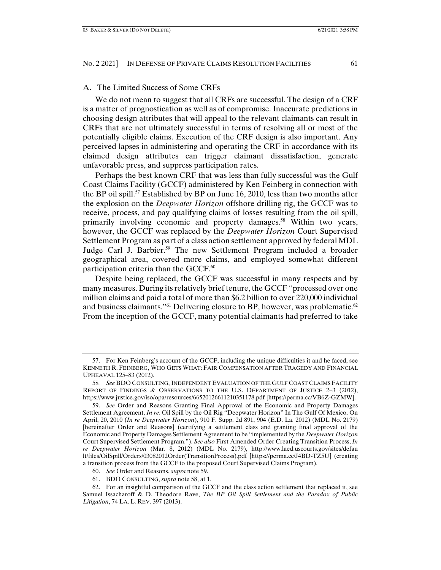### A. The Limited Success of Some CRFs

We do not mean to suggest that all CRFs are successful. The design of a CRF is a matter of prognostication as well as of compromise. Inaccurate predictions in choosing design attributes that will appeal to the relevant claimants can result in CRFs that are not ultimately successful in terms of resolving all or most of the potentially eligible claims. Execution of the CRF design is also important. Any perceived lapses in administering and operating the CRF in accordance with its claimed design attributes can trigger claimant dissatisfaction, generate unfavorable press, and suppress participation rates.

Perhaps the best known CRF that was less than fully successful was the Gulf Coast Claims Facility (GCCF) administered by Ken Feinberg in connection with the BP oil spill.57 Established by BP on June 16, 2010, less than two months after the explosion on the *Deepwater Horizon* offshore drilling rig, the GCCF was to receive, process, and pay qualifying claims of losses resulting from the oil spill, primarily involving economic and property damages.<sup>58</sup> Within two years, however, the GCCF was replaced by the *Deepwater Horizon* Court Supervised Settlement Program as part of a class action settlement approved by federal MDL Judge Carl J. Barbier.59 The new Settlement Program included a broader geographical area, covered more claims, and employed somewhat different participation criteria than the GCCF.<sup>60</sup>

Despite being replaced, the GCCF was successful in many respects and by many measures. During its relatively brief tenure, the GCCF "processed over one million claims and paid a total of more than \$6.2 billion to over 220,000 individual and business claimants."<sup>61</sup> Delivering closure to BP, however, was problematic.<sup>62</sup> From the inception of the GCCF, many potential claimants had preferred to take

 <sup>57.</sup> For Ken Feinberg's account of the GCCF, including the unique difficulties it and he faced, see KENNETH R. FEINBERG, WHO GETS WHAT: FAIR COMPENSATION AFTER TRAGEDY AND FINANCIAL UPHEAVAL 125–83 (2012).

<sup>58</sup>*. See* BDO CONSULTING, INDEPENDENT EVALUATION OF THE GULF COAST CLAIMS FACILITY REPORT OF FINDINGS & OBSERVATIONS TO THE U.S. DEPARTMENT OF JUSTICE 2–3 (2012), https://www.justice.gov/iso/opa/resources/66520126611210351178.pdf [https://perma.cc/VB6Z-GZMW].

 <sup>59.</sup> *See* Order and Reasons Granting Final Approval of the Economic and Property Damages Settlement Agreement, *In re:* Oil Spill by the Oil Rig "Deepwater Horizon" In The Gulf Of Mexico, On April, 20, 2010 (*In re Deepwater Horizon*), 910 F. Supp. 2d 891, 904 (E.D. La. 2012) (MDL No. 2179) [hereinafter Order and Reasons] (certifying a settlement class and granting final approval of the Economic and Property Damages Settlement Agreement to be "implemented by the *Deepwater Horizon* Court Supervised Settlement Program."). *See also* First Amended Order Creating Transition Process,*In re Deepwater Horizon* (Mar. 8, 2012) (MDL No. 2179), http://www.laed.uscourts.gov/sites/defau lt/files/OilSpill/Orders/03082012Order(TransitionProcess).pdf [https://perma.cc/J4BD-TZ5U] (creating a transition process from the GCCF to the proposed Court Supervised Claims Program).

 <sup>60.</sup> *See* Order and Reasons, *supra* note 59.

 <sup>61.</sup> BDO CONSULTING, *supra* note 58, at 1.

 <sup>62.</sup> For an insightful comparison of the GCCF and the class action settlement that replaced it, see Samuel Issacharoff & D. Theodore Rave, *The BP Oil Spill Settlement and the Paradox of Public Litigation*, 74 LA. L. REV. 397 (2013).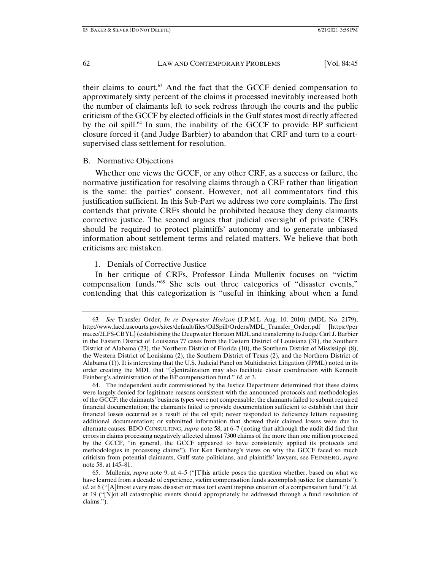their claims to court.<sup>63</sup> And the fact that the GCCF denied compensation to approximately sixty percent of the claims it processed inevitably increased both the number of claimants left to seek redress through the courts and the public criticism of the GCCF by elected officials in the Gulf states most directly affected by the oil spill.64 In sum, the inability of the GCCF to provide BP sufficient closure forced it (and Judge Barbier) to abandon that CRF and turn to a courtsupervised class settlement for resolution.

## B. Normative Objections

Whether one views the GCCF, or any other CRF, as a success or failure, the normative justification for resolving claims through a CRF rather than litigation is the same: the parties' consent. However, not all commentators find this justification sufficient. In this Sub-Part we address two core complaints. The first contends that private CRFs should be prohibited because they deny claimants corrective justice. The second argues that judicial oversight of private CRFs should be required to protect plaintiffs' autonomy and to generate unbiased information about settlement terms and related matters. We believe that both criticisms are mistaken.

# 1. Denials of Corrective Justice

In her critique of CRFs, Professor Linda Mullenix focuses on "victim compensation funds."65 She sets out three categories of "disaster events," contending that this categorization is "useful in thinking about when a fund

<sup>63</sup>*. See* Transfer Order, *In re Deepwater Horizon* (J.P.M.L Aug. 10, 2010) (MDL No. 2179), http://www.laed.uscourts.gov/sites/default/files/OilSpill/Orders/MDL\_Transfer\_Order.pdf [https://per ma.cc/2LFS-CBYL] (establishing the Deepwater Horizon MDL and transferring to Judge Carl J. Barbier in the Eastern District of Louisiana 77 cases from the Eastern District of Louisiana (31), the Southern District of Alabama (23), the Northern District of Florida (10), the Southern District of Mississippi (8), the Western District of Louisiana (2), the Southern District of Texas (2), and the Northern District of Alabama (1)). It is interesting that the U.S. Judicial Panel on Multidistrict Litigation (JPML) noted in its order creating the MDL that "[c]entralization may also facilitate closer coordination with Kenneth Feinberg's administration of the BP compensation fund." *Id.* at 3.

 <sup>64.</sup> The independent audit commissioned by the Justice Department determined that these claims were largely denied for legitimate reasons consistent with the announced protocols and methodologies of the GCCF: the claimants' business types were not compensable; the claimants failed to submit required financial documentation; the claimants failed to provide documentation sufficient to establish that their financial losses occurred as a result of the oil spill; never responded to deficiency letters requesting additional documentation; or submitted information that showed their claimed losses were due to alternate causes. BDO CONSULTING, *supra* note 58, at 6–7 (noting that although the audit did find that errors in claims processing negatively affected almost 7300 claims of the more than one million processed by the GCCF, "in general, the GCCF appeared to have consistently applied its protocols and methodologies in processing claims"). For Ken Feinberg's views on why the GCCF faced so much criticism from potential claimants, Gulf state politicians, and plaintiffs' lawyers, see FEINBERG, *supra* note 58, at 145–81.

 <sup>65.</sup> Mullenix, *supra* note 9, at 4–5 ("[T]his article poses the question whether, based on what we have learned from a decade of experience, victim compensation funds accomplish justice for claimants"); *id.* at 6 ("[A]lmost every mass disaster or mass tort event inspires creation of a compensation fund."); *id.* at 19 ("[N]ot all catastrophic events should appropriately be addressed through a fund resolution of claims.").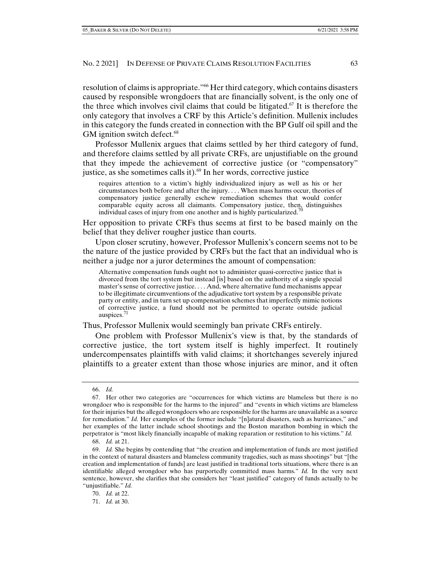resolution of claims is appropriate."66 Her third category, which contains disasters caused by responsible wrongdoers that are financially solvent, is the only one of the three which involves civil claims that could be litigated.<sup>67</sup> It is therefore the only category that involves a CRF by this Article's definition. Mullenix includes in this category the funds created in connection with the BP Gulf oil spill and the GM ignition switch defect. $68$ 

Professor Mullenix argues that claims settled by her third category of fund, and therefore claims settled by all private CRFs, are unjustifiable on the ground that they impede the achievement of corrective justice (or "compensatory" justice, as she sometimes calls it). $69$  In her words, corrective justice

requires attention to a victim's highly individualized injury as well as his or her circumstances both before and after the injury. . . . When mass harms occur, theories of compensatory justice generally eschew remediation schemes that would confer comparable equity across all claimants. Compensatory justice, then, distinguishes individual cases of injury from one another and is highly particularized.<sup>70</sup>

Her opposition to private CRFs thus seems at first to be based mainly on the belief that they deliver rougher justice than courts.

Upon closer scrutiny, however, Professor Mullenix's concern seems not to be the nature of the justice provided by CRFs but the fact that an individual who is neither a judge nor a juror determines the amount of compensation:

Alternative compensation funds ought not to administer quasi-corrective justice that is divorced from the tort system but instead [is] based on the authority of a single special master's sense of corrective justice. . . . And, where alternative fund mechanisms appear to be illegitimate circumventions of the adjudicative tort system by a responsible private party or entity, and in turn set up compensation schemes that imperfectly mimic notions of corrective justice, a fund should not be permitted to operate outside judicial auspices.<sup>71</sup>

Thus, Professor Mullenix would seemingly ban private CRFs entirely.

One problem with Professor Mullenix's view is that, by the standards of corrective justice, the tort system itself is highly imperfect. It routinely undercompensates plaintiffs with valid claims; it shortchanges severely injured plaintiffs to a greater extent than those whose injuries are minor, and it often

 <sup>66.</sup> *Id.*

 <sup>67.</sup> Her other two categories are "occurrences for which victims are blameless but there is no wrongdoer who is responsible for the harms to the injured" and "events in which victims are blameless for their injuries but the alleged wrongdoers who are responsible for the harms are unavailable as a source for remediation." *Id.* Her examples of the former include "[n]atural disasters, such as hurricanes," and her examples of the latter include school shootings and the Boston marathon bombing in which the perpetrator is "most likely financially incapable of making reparation or restitution to his victims." *Id.*

 <sup>68.</sup> *Id.* at 21.

 <sup>69.</sup> *Id.* She begins by contending that "the creation and implementation of funds are most justified in the context of natural disasters and blameless community tragedies, such as mass shootings" but "[the creation and implementation of funds] are least justified in traditional torts situations, where there is an identifiable alleged wrongdoer who has purportedly committed mass harms." *Id.* In the very next sentence, however, she clarifies that she considers her "least justified" category of funds actually to be "unjustifiable." *Id.*

 <sup>70.</sup> *Id.* at 22.

 <sup>71.</sup> *Id.* at 30.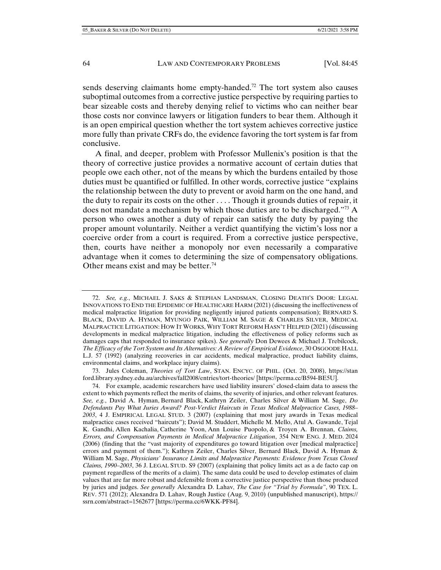sends deserving claimants home empty-handed.<sup>72</sup> The tort system also causes suboptimal outcomes from a corrective justice perspective by requiring parties to bear sizeable costs and thereby denying relief to victims who can neither bear those costs nor convince lawyers or litigation funders to bear them. Although it is an open empirical question whether the tort system achieves corrective justice more fully than private CRFs do, the evidence favoring the tort system is far from conclusive.

A final, and deeper, problem with Professor Mullenix's position is that the theory of corrective justice provides a normative account of certain duties that people owe each other, not of the means by which the burdens entailed by those duties must be quantified or fulfilled. In other words, corrective justice "explains the relationship between the duty to prevent or avoid harm on the one hand, and the duty to repair its costs on the other . . . . Though it grounds duties of repair, it does not mandate a mechanism by which those duties are to be discharged."73 A person who owes another a duty of repair can satisfy the duty by paying the proper amount voluntarily. Neither a verdict quantifying the victim's loss nor a coercive order from a court is required. From a corrective justice perspective, then, courts have neither a monopoly nor even necessarily a comparative advantage when it comes to determining the size of compensatory obligations. Other means exist and may be better.<sup>74</sup>

 <sup>72.</sup> *See, e.g.*, MICHAEL J. SAKS & STEPHAN LANDSMAN, CLOSING DEATH'S DOOR: LEGAL INNOVATIONS TO END THE EPIDEMIC OF HEALTHCARE HARM (2021) (discussing the ineffectiveness of medical malpractice litigation for providing negligently injured patients compensation); BERNARD S. BLACK, DAVID A. HYMAN, MYUNGO PAIK, WILLIAM M. SAGE & CHARLES SILVER, MEDICAL MALPRACTICE LITIGATION: HOW IT WORKS, WHY TORT REFORM HASN'T HELPED (2021)(discussing developments in medical malpractice litigation, including the effectiveness of policy reforms such as damages caps that responded to insurance spikes). *See generally* Don Dewees & Michael J. Trebilcock, *The Efficacy of the Tort System and Its Alternatives: A Review of Empirical Evidence*, 30 OSGOODE HALL L.J. 57 (1992) (analyzing recoveries in car accidents, medical malpractice, product liability claims, environmental claims, and workplace injury claims).

 <sup>73.</sup> Jules Coleman, *Theories of Tort Law*, STAN. ENCYC. OF PHIL. (Oct. 20, 2008), https://stan ford.library.sydney.edu.au/archives/fall2008/entries/tort-theories/ [https://perma.cc/B594-BE5U].

 <sup>74.</sup> For example, academic researchers have used liability insurers' closed-claim data to assess the extent to which payments reflect the merits of claims, the severity of injuries, and other relevant features. *See, e.g.*, David A. Hyman, Bernard Black, Kathryn Zeiler, Charles Silver & William M. Sage, *Do Defendants Pay What Juries Award? Post-Verdict Haircuts in Texas Medical Malpractice Cases, 1988– 2003*, 4 J. EMPIRICAL LEGAL STUD. 3 (2007) (explaining that most jury awards in Texas medical malpractice cases received "haircuts"); David M. Studdert, Michelle M. Mello, Atul A. Gawande, Tejal K. Gandhi, Allen Kachalia, Catherine Yoon, Ann Louise Puopolo, & Troyen A. Brennan, *Claims, Errors, and Compensation Payments in Medical Malpractice Litigation*, 354 NEW ENG. J. MED. 2024 (2006) (finding that the "vast majority of expenditures go toward litigation over [medical malpractice] errors and payment of them."); Kathryn Zeiler, Charles Silver, Bernard Black, David A. Hyman & William M. Sage, *Physicians' Insurance Limits and Malpractice Payments: Evidence from Texas Closed Claims, 1990–2003*, 36 J. LEGAL STUD. S9 (2007) (explaining that policy limits act as a de facto cap on payment regardless of the merits of a claim). The same data could be used to develop estimates of claim values that are far more robust and defensible from a corrective justice perspective than those produced by juries and judges. *See generally* Alexandra D. Lahav, *The Case for "Trial by Formula"*, 90 TEX. L. REV. 571 (2012); Alexandra D. Lahav, Rough Justice (Aug. 9, 2010) (unpublished manuscript), https:// ssrn.com/abstract=1562677 [https://perma.cc/6WKK-PF84].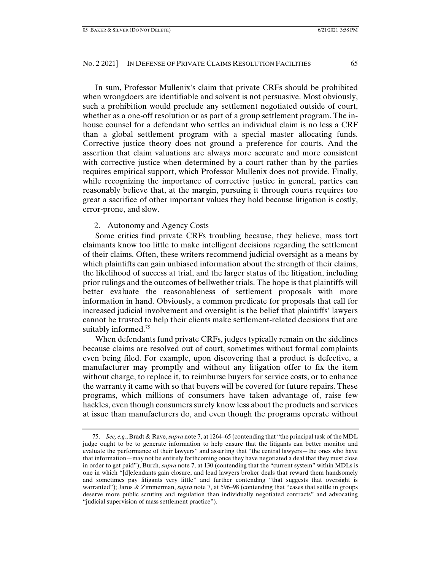In sum, Professor Mullenix's claim that private CRFs should be prohibited when wrongdoers are identifiable and solvent is not persuasive. Most obviously, such a prohibition would preclude any settlement negotiated outside of court, whether as a one-off resolution or as part of a group settlement program. The inhouse counsel for a defendant who settles an individual claim is no less a CRF than a global settlement program with a special master allocating funds. Corrective justice theory does not ground a preference for courts. And the assertion that claim valuations are always more accurate and more consistent with corrective justice when determined by a court rather than by the parties requires empirical support, which Professor Mullenix does not provide. Finally, while recognizing the importance of corrective justice in general, parties can reasonably believe that, at the margin, pursuing it through courts requires too great a sacrifice of other important values they hold because litigation is costly, error-prone, and slow.

## 2. Autonomy and Agency Costs

Some critics find private CRFs troubling because, they believe, mass tort claimants know too little to make intelligent decisions regarding the settlement of their claims. Often, these writers recommend judicial oversight as a means by which plaintiffs can gain unbiased information about the strength of their claims, the likelihood of success at trial, and the larger status of the litigation, including prior rulings and the outcomes of bellwether trials. The hope is that plaintiffs will better evaluate the reasonableness of settlement proposals with more information in hand. Obviously, a common predicate for proposals that call for increased judicial involvement and oversight is the belief that plaintiffs' lawyers cannot be trusted to help their clients make settlement-related decisions that are suitably informed.<sup>75</sup>

When defendants fund private CRFs, judges typically remain on the sidelines because claims are resolved out of court, sometimes without formal complaints even being filed. For example, upon discovering that a product is defective, a manufacturer may promptly and without any litigation offer to fix the item without charge, to replace it, to reimburse buyers for service costs, or to enhance the warranty it came with so that buyers will be covered for future repairs. These programs, which millions of consumers have taken advantage of, raise few hackles, even though consumers surely know less about the products and services at issue than manufacturers do, and even though the programs operate without

 <sup>75.</sup> *See, e.g.*, Bradt & Rave, *supra* note 7, at 1264–65 (contending that "the principal task of the MDL judge ought to be to generate information to help ensure that the litigants can better monitor and evaluate the performance of their lawyers" and asserting that "the central lawyers—the ones who have that information—may not be entirely forthcoming once they have negotiated a deal that they must close in order to get paid"); Burch, *supra* note 7, at 130 (contending that the "current system" within MDLs is one in which "[d]efendants gain closure, and lead lawyers broker deals that reward them handsomely and sometimes pay litigants very little" and further contending "that suggests that oversight is warranted"); Jaros & Zimmerman, *supra* note 7, at 596–98 (contending that "cases that settle in groups deserve more public scrutiny and regulation than individually negotiated contracts" and advocating "judicial supervision of mass settlement practice").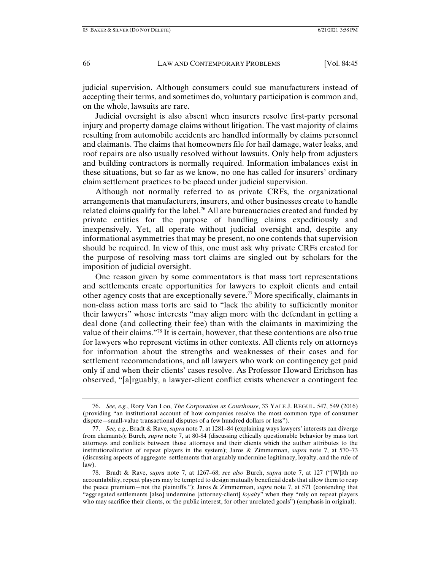judicial supervision. Although consumers could sue manufacturers instead of accepting their terms, and sometimes do, voluntary participation is common and, on the whole, lawsuits are rare.

Judicial oversight is also absent when insurers resolve first-party personal injury and property damage claims without litigation. The vast majority of claims resulting from automobile accidents are handled informally by claims personnel and claimants. The claims that homeowners file for hail damage, water leaks, and roof repairs are also usually resolved without lawsuits. Only help from adjusters and building contractors is normally required. Information imbalances exist in these situations, but so far as we know, no one has called for insurers' ordinary claim settlement practices to be placed under judicial supervision.

Although not normally referred to as private CRFs, the organizational arrangements that manufacturers, insurers, and other businesses create to handle related claims qualify for the label.<sup>76</sup> All are bureaucracies created and funded by private entities for the purpose of handling claims expeditiously and inexpensively. Yet, all operate without judicial oversight and, despite any informational asymmetries that may be present, no one contends that supervision should be required. In view of this, one must ask why private CRFs created for the purpose of resolving mass tort claims are singled out by scholars for the imposition of judicial oversight.

One reason given by some commentators is that mass tort representations and settlements create opportunities for lawyers to exploit clients and entail other agency costs that are exceptionally severe.77 More specifically, claimants in non-class action mass torts are said to "lack the ability to sufficiently monitor their lawyers" whose interests "may align more with the defendant in getting a deal done (and collecting their fee) than with the claimants in maximizing the value of their claims."78 It is certain, however, that these contentions are also true for lawyers who represent victims in other contexts. All clients rely on attorneys for information about the strengths and weaknesses of their cases and for settlement recommendations, and all lawyers who work on contingency get paid only if and when their clients' cases resolve. As Professor Howard Erichson has observed, "[a]rguably, a lawyer-client conflict exists whenever a contingent fee

 <sup>76.</sup> *See, e.g.*, Rory Van Loo, *The Corporation as Courthouse*, 33 YALE J. REGUL. 547, 549 (2016) (providing "an institutional account of how companies resolve the most common type of consumer dispute—small-value transactional disputes of a few hundred dollars or less").

 <sup>77.</sup> *See, e.g.*, Bradt & Rave, *supra* note 7, at 1281–84 (explaining ways lawyers' interests can diverge from claimants); Burch, *supra* note 7, at 80-84 (discussing ethically questionable behavior by mass tort attorneys and conflicts between those attorneys and their clients which the author attributes to the institutionalization of repeat players in the system); Jaros & Zimmerman, *supra* note 7, at 570–73 (discussing aspects of aggregate settlements that arguably undermine legitimacy, loyalty, and the rule of law).

 <sup>78.</sup> Bradt & Rave, *supra* note 7, at 1267–68; *see also* Burch, *supra* note 7, at 127 ("[W]ith no accountability, repeat players may be tempted to design mutually beneficial deals that allow them to reap the peace premium—not the plaintiffs."); Jaros & Zimmerman, *supra* note 7, at 571 (contending that "aggregated settlements [also] undermine [attorney-client] *loyalty*" when they "rely on repeat players who may sacrifice their clients, or the public interest, for other unrelated goals") (emphasis in original).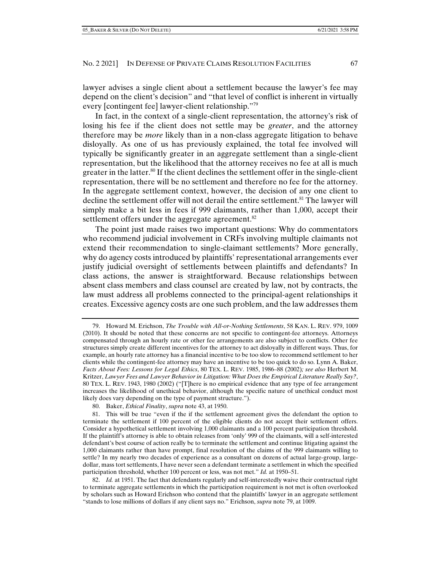lawyer advises a single client about a settlement because the lawyer's fee may depend on the client's decision" and "that level of conflict is inherent in virtually every [contingent fee] lawyer-client relationship."79

In fact, in the context of a single-client representation, the attorney's risk of losing his fee if the client does not settle may be *greater*, and the attorney therefore may be *more* likely than in a non-class aggregate litigation to behave disloyally. As one of us has previously explained, the total fee involved will typically be significantly greater in an aggregate settlement than a single-client representation, but the likelihood that the attorney receives no fee at all is much greater in the latter.<sup>80</sup> If the client declines the settlement offer in the single-client representation, there will be no settlement and therefore no fee for the attorney. In the aggregate settlement context, however, the decision of any one client to decline the settlement offer will not derail the entire settlement.<sup>81</sup> The lawyer will simply make a bit less in fees if 999 claimants, rather than 1,000, accept their settlement offers under the aggregate agreement.<sup>82</sup>

The point just made raises two important questions: Why do commentators who recommend judicial involvement in CRFs involving multiple claimants not extend their recommendation to single-claimant settlements? More generally, why do agency costs introduced by plaintiffs' representational arrangements ever justify judicial oversight of settlements between plaintiffs and defendants? In class actions, the answer is straightforward. Because relationships between absent class members and class counsel are created by law, not by contracts, the law must address all problems connected to the principal-agent relationships it creates. Excessive agency costs are one such problem, and the law addresses them

80. Baker, *Ethical Finality*, *supra* note 43, at 1950.

 <sup>79.</sup> Howard M. Erichson, *The Trouble with All-or-Nothing Settlements*, 58 KAN. L. REV. 979, 1009 (2010). It should be noted that these concerns are not specific to contingent-fee attorneys. Attorneys compensated through an hourly rate or other fee arrangements are also subject to conflicts. Other fee structures simply create different incentives for the attorney to act disloyally in different ways. Thus, for example, an hourly rate attorney has a financial incentive to be too slow to recommend settlement to her clients while the contingent-fee attorney may have an incentive to be too quick to do so. Lynn A. Baker, *Facts About Fees: Lessons for Legal Ethics*, 80 TEX. L. REV. 1985, 1986–88 (2002)*; see also* Herbert M. Kritzer, *Lawyer Fees and Lawyer Behavior in Litigation: What Does the Empirical Literature Really Say?*, 80 TEX. L. REV. 1943, 1980 (2002) ("[T]here is no empirical evidence that any type of fee arrangement increases the likelihood of unethical behavior, although the specific nature of unethical conduct most likely does vary depending on the type of payment structure.").

 <sup>81.</sup> This will be true "even if the if the settlement agreement gives the defendant the option to terminate the settlement if 100 percent of the eligible clients do not accept their settlement offers. Consider a hypothetical settlement involving 1,000 claimants and a 100 percent participation threshold. If the plaintiff's attorney is able to obtain releases from 'only' 999 of the claimants, will a self-interested defendant's best course of action really be to terminate the settlement and continue litigating against the 1,000 claimants rather than have prompt, final resolution of the claims of the 999 claimants willing to settle? In my nearly two decades of experience as a consultant on dozens of actual large-group, largedollar, mass tort settlements, I have never seen a defendant terminate a settlement in which the specified participation threshold, whether 100 percent or less, was not met." *Id.* at 1950–51.

 <sup>82.</sup> *Id.* at 1951. The fact that defendants regularly and self-interestedly waive their contractual right to terminate aggregate settlements in which the participation requirement is not met is often overlooked by scholars such as Howard Erichson who contend that the plaintiffs' lawyer in an aggregate settlement "stands to lose millions of dollars if any client says no." Erichson, *supra* note 79, at 1009.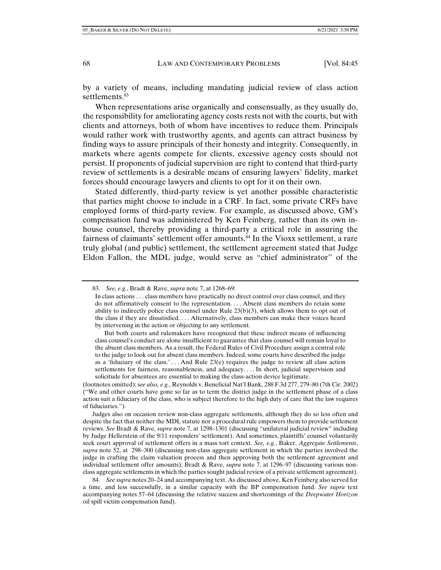by a variety of means, including mandating judicial review of class action settlements.<sup>83</sup>

When representations arise organically and consensually, as they usually do, the responsibility for ameliorating agency costs rests not with the courts, but with clients and attorneys, both of whom have incentives to reduce them. Principals would rather work with trustworthy agents, and agents can attract business by finding ways to assure principals of their honesty and integrity. Consequently, in markets where agents compete for clients, excessive agency costs should not persist. If proponents of judicial supervision are right to contend that third-party review of settlements is a desirable means of ensuring lawyers' fidelity, market forces should encourage lawyers and clients to opt for it on their own.

Stated differently, third-party review is yet another possible characteristic that parties might choose to include in a CRF. In fact, some private CRFs have employed forms of third-party review. For example, as discussed above, GM's compensation fund was administered by Ken Feinberg, rather than its own inhouse counsel, thereby providing a third-party a critical role in assuring the fairness of claimants' settlement offer amounts.<sup>84</sup> In the Vioxx settlement, a rare truly global (and public) settlement, the settlement agreement stated that Judge Eldon Fallon, the MDL judge, would serve as "chief administrator" of the

(footnotes omitted); s*ee also, e.g.*, Reynolds v. Beneficial Nat'l Bank, 288 F.3d 277, 279–80 (7th Cir. 2002) ("We and other courts have gone so far as to term the district judge in the settlement phase of a class action suit a fiduciary of the class, who is subject therefore to the high duty of care that the law requires of fiduciaries.").

Judges also on occasion review non-class aggregate settlements, although they do so less often and despite the fact that neither the MDL statute nor a procedural rule empowers them to provide settlement reviews. *See* Bradt & Rave, *supra* note 7, at 1298–1301 (discussing "unilateral judicial review" including by Judge Hellerstein of the 9/11 responders' settlement). And sometimes, plaintiffs' counsel voluntarily seek court approval of settlement offers in a mass tort context. *See, e.g.*, Baker, *Aggregate Settlements*, *supra* note 52, at 298–300 (discussing non-class aggregate settlement in which the parties involved the judge in crafting the claim valuation process and then approving both the settlement agreement and individual settlement offer amounts); Bradt & Rave, *supra* note 7, at 1296–97 (discussing various nonclass aggregate settlements in which the parties sought judicial review of a private settlement agreement).

 84. *See supra* notes 20–24 and accompanying text. As discussed above, Ken Feinberg also served for a time, and less successfully, in a similar capacity with the BP compensation fund. *See supra* text accompanying notes 57–64 (discussing the relative success and shortcomings of the *Deepwater Horizon* oil spill victim compensation fund).

 <sup>83.</sup> *See, e.g.*, Bradt & Rave, *supra* note 7, at 1268–69:

In class actions . . . class members have practically no direct control over class counsel, and they do not affirmatively consent to the representation. . . . Absent class members do retain some ability to indirectly police class counsel under Rule 23(b)(3), which allows them to opt out of the class if they are dissatisfied. . . . Alternatively, class members can make their voices heard by intervening in the action or objecting to any settlement.

But both courts and rulemakers have recognized that these indirect means of influencing class counsel's conduct are alone insufficient to guarantee that class counsel will remain loyal to the absent class members. As a result, the Federal Rules of Civil Procedure assign a central role to the judge to look out for absent class members. Indeed, some courts have described the judge as a 'fiduciary of the class.'... And Rule  $23(e)$  requires the judge to review all class action settlements for fairness, reasonableness, and adequacy. . . . In short, judicial supervision and solicitude for absentees are essential to making the class-action device legitimate.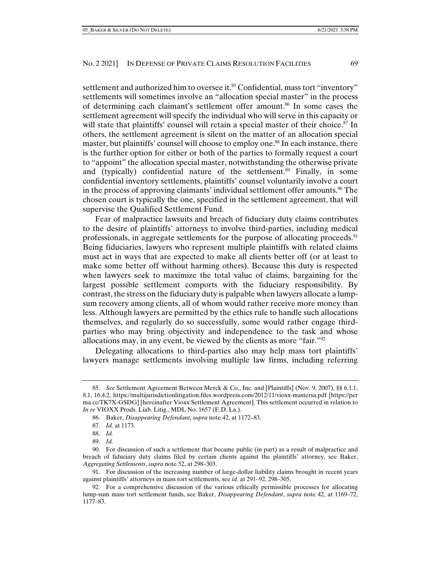settlement and authorized him to oversee it.<sup>85</sup> Confidential, mass tort "inventory" settlements will sometimes involve an "allocation special master" in the process of determining each claimant's settlement offer amount.<sup>86</sup> In some cases the settlement agreement will specify the individual who will serve in this capacity or will state that plaintiffs' counsel will retain a special master of their choice.<sup>87</sup> In others, the settlement agreement is silent on the matter of an allocation special master, but plaintiffs' counsel will choose to employ one.<sup>88</sup> In each instance, there is the further option for either or both of the parties to formally request a court to "appoint" the allocation special master, notwithstanding the otherwise private and (typically) confidential nature of the settlement.<sup>89</sup> Finally, in some confidential inventory settlements, plaintiffs' counsel voluntarily involve a court in the process of approving claimants' individual settlement offer amounts.<sup>90</sup> The chosen court is typically the one, specified in the settlement agreement, that will supervise the Qualified Settlement Fund.

Fear of malpractice lawsuits and breach of fiduciary duty claims contributes to the desire of plaintiffs' attorneys to involve third-parties, including medical professionals, in aggregate settlements for the purpose of allocating proceeds.<sup>91</sup> Being fiduciaries, lawyers who represent multiple plaintiffs with related claims must act in ways that are expected to make all clients better off (or at least to make some better off without harming others). Because this duty is respected when lawyers seek to maximize the total value of claims, bargaining for the largest possible settlement comports with the fiduciary responsibility. By contrast, the stress on the fiduciary duty is palpable when lawyers allocate a lumpsum recovery among clients, all of whom would rather receive more money than less. Although lawyers are permitted by the ethics rule to handle such allocations themselves, and regularly do so successfully, some would rather engage thirdparties who may bring objectivity and independence to the task and whose allocations may, in any event, be viewed by the clients as more "fair."92

Delegating allocations to third-parties also may help mass tort plaintiffs' lawyers manage settlements involving multiple law firms, including referring

 <sup>85.</sup> *See* Settlement Agreement Between Merck & Co., Inc. and [Plaintiffs] (Nov. 9, 2007), §§ 6.1.1, 8.1, 16.4.2, https://multijurisdictionlitigation.files.wordpress.com/2012/11/vioxx-mastersa.pdf [https://per ma.cc/TK7X-GSDG] [hereinafter Vioxx Settlement Agreement]. This settlement occurred in relation to *In re* VIOXX Prods. Liab. Litig., MDL No. 1657 (E.D. La.).

 <sup>86.</sup> Baker, *Disappearing Defendant*, *supra* note 42, at 1172–83.

 <sup>87.</sup> *Id.* at 1173.

 <sup>88.</sup> *Id.*

 <sup>89.</sup> *Id.*

 <sup>90.</sup> For discussion of such a settlement that became public (in part) as a result of malpractice and breach of fiduciary duty claims filed by certain clients against the plaintiffs' attorney, see Baker, *Aggregating Settlements*, *supra* note 52, at 298–303.

 <sup>91.</sup> For discussion of the increasing number of large-dollar liability claims brought in recent years against plaintiffs' attorneys in mass tort settlements, see *id.* at 291–92, 298–305.

 <sup>92.</sup> For a comprehensive discussion of the various ethically permissible processes for allocating lump-sum mass tort settlement funds, see Baker, *Disappearing Defendant*, *supra* note 42, at 1169–72, 1177–83.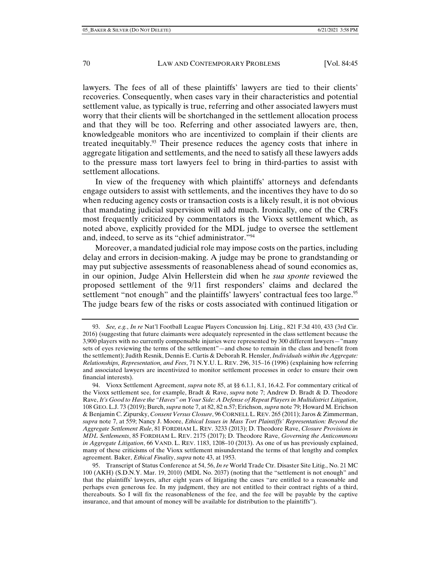lawyers. The fees of all of these plaintiffs' lawyers are tied to their clients' recoveries. Consequently, when cases vary in their characteristics and potential settlement value, as typically is true, referring and other associated lawyers must worry that their clients will be shortchanged in the settlement allocation process and that they will be too. Referring and other associated lawyers are, then, knowledgeable monitors who are incentivized to complain if their clients are treated inequitably.<sup>93</sup> Their presence reduces the agency costs that inhere in aggregate litigation and settlements, and the need to satisfy all these lawyers adds to the pressure mass tort lawyers feel to bring in third-parties to assist with settlement allocations.

In view of the frequency with which plaintiffs' attorneys and defendants engage outsiders to assist with settlements, and the incentives they have to do so when reducing agency costs or transaction costs is a likely result, it is not obvious that mandating judicial supervision will add much. Ironically, one of the CRFs most frequently criticized by commentators is the Vioxx settlement which, as noted above, explicitly provided for the MDL judge to oversee the settlement and, indeed, to serve as its "chief administrator."94

Moreover, a mandated judicial role may impose costs on the parties, including delay and errors in decision-making. A judge may be prone to grandstanding or may put subjective assessments of reasonableness ahead of sound economics as, in our opinion, Judge Alvin Hellerstein did when he *sua sponte* reviewed the proposed settlement of the 9/11 first responders' claims and declared the settlement "not enough" and the plaintiffs' lawyers' contractual fees too large.<sup>95</sup> The judge bears few of the risks or costs associated with continued litigation or

 95. Transcript of Status Conference at 54, 56, *In re* World Trade Ctr. Disaster Site Litig., No. 21 MC 100 (AKH) (S.D.N.Y. Mar. 19, 2010) (MDL No. 2037) (noting that the "settlement is not enough" and that the plaintiffs' lawyers, after eight years of litigating the cases "are entitled to a reasonable and perhaps even generous fee. In my judgment, they are not entitled to their contract rights of a third, thereabouts. So I will fix the reasonableness of the fee, and the fee will be payable by the captive insurance, and that amount of money will be available for distribution to the plaintiffs").

 <sup>93.</sup> *See, e.g.*, *In re* Nat'l Football League Players Concussion Inj. Litig., 821 F.3d 410, 433 (3rd Cir. 2016) (suggesting that future claimants were adequately represented in the class settlement because the 3,900 players with no currently compensable injuries were represented by 300 different lawyers—"many sets of eyes reviewing the terms of the settlement"—and chose to remain in the class and benefit from the settlement); Judith Resnik, Dennis E. Curtis & Deborah R. Hensler, *Individuals within the Aggregate: Relationships, Representation, and Fees*, 71 N.Y.U. L. REV. 296, 315–16 (1996) (explaining how referring and associated lawyers are incentivized to monitor settlement processes in order to ensure their own financial interests).

 <sup>94.</sup> Vioxx Settlement Agreement, *supra* note 85, at §§ 6.1.1, 8.1, 16.4.2. For commentary critical of the Vioxx settlement see, for example, Bradt & Rave, *supra* note 7; Andrew D. Bradt & D. Theodore Rave, *It's Good to Have the "Haves" on Your Side: A Defense of Repeat Players in Multidistrict Litigation*, 108 GEO. L.J. 73 (2019); Burch, *supra* note 7, at 82, 82 n.57; Erichson, *supra* note 79; Howard M. Erichson & Benjamin C. Zipursky, *Consent Versus Closure*, 96 CORNELL L. REV. 265 (2011); Jaros & Zimmerman, *supra* note 7, at 559; Nancy J. Moore, *Ethical Issues in Mass Tort Plaintiffs' Representation: Beyond the Aggregate Settlement Rule*, 81 FORDHAM L. REV. 3233 (2013); D. Theodore Rave, *Closure Provisions in MDL Settlements*, 85 FORDHAM L. REV. 2175 (2017); D. Theodore Rave, *Governing the Anticommons in Aggregate Litigation*, 66 VAND. L. REV. 1183, 1208–10 (2013). As one of us has previously explained, many of these criticisms of the Vioxx settlement misunderstand the terms of that lengthy and complex agreement. Baker, *Ethical Finality*, *supra* note 43, at 1953.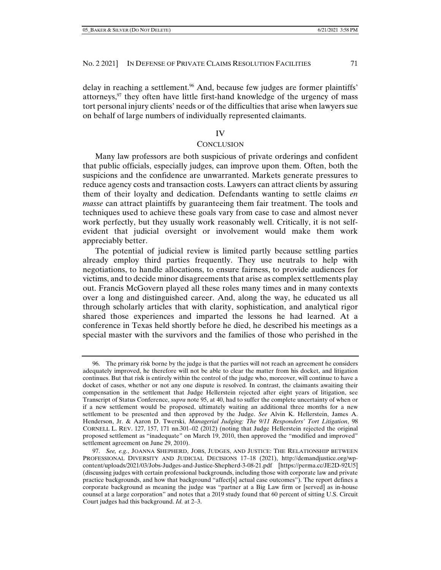delay in reaching a settlement.<sup>96</sup> And, because few judges are former plaintiffs' attorneys, $97$  they often have little first-hand knowledge of the urgency of mass tort personal injury clients' needs or of the difficulties that arise when lawyers sue on behalf of large numbers of individually represented claimants.

### IV

### **CONCLUSION**

Many law professors are both suspicious of private orderings and confident that public officials, especially judges, can improve upon them. Often, both the suspicions and the confidence are unwarranted. Markets generate pressures to reduce agency costs and transaction costs. Lawyers can attract clients by assuring them of their loyalty and dedication. Defendants wanting to settle claims *en masse* can attract plaintiffs by guaranteeing them fair treatment. The tools and techniques used to achieve these goals vary from case to case and almost never work perfectly, but they usually work reasonably well. Critically, it is not selfevident that judicial oversight or involvement would make them work appreciably better.

The potential of judicial review is limited partly because settling parties already employ third parties frequently. They use neutrals to help with negotiations, to handle allocations, to ensure fairness, to provide audiences for victims, and to decide minor disagreements that arise as complex settlements play out. Francis McGovern played all these roles many times and in many contexts over a long and distinguished career. And, along the way, he educated us all through scholarly articles that with clarity, sophistication, and analytical rigor shared those experiences and imparted the lessons he had learned. At a conference in Texas held shortly before he died, he described his meetings as a special master with the survivors and the families of those who perished in the

 <sup>96.</sup> The primary risk borne by the judge is that the parties will not reach an agreement he considers adequately improved, he therefore will not be able to clear the matter from his docket, and litigation continues. But that risk is entirely within the control of the judge who, moreover, will continue to have a docket of cases, whether or not any one dispute is resolved. In contrast, the claimants awaiting their compensation in the settlement that Judge Hellerstein rejected after eight years of litigation, see Transcript of Status Conference, *supra* note 95, at 40, had to suffer the complete uncertainty of when or if a new settlement would be proposed, ultimately waiting an additional three months for a new settlement to be presented and then approved by the Judge. *See* Alvin K. Hellerstein, James A. Henderson, Jr. & Aaron D. Twerski, *Managerial Judging: The 9/11 Responders' Tort Litigation*, 98 CORNELL L. REV. 127, 157, 171 nn.301–02 (2012) (noting that Judge Hellerstein rejected the original proposed settlement as "inadequate" on March 19, 2010, then approved the "modified and improved" settlement agreement on June 29, 2010).

 <sup>97.</sup> *See, e.g.*, JOANNA SHEPHERD, JOBS, JUDGES, AND JUSTICE: THE RELATIONSHIP BETWEEN PROFESSIONAL DIVERSITY AND JUDICIAL DECISIONS 17–18 (2021), http://demandjustice.org/wpcontent/uploads/2021/03/Jobs-Judges-and-Justice-Shepherd-3-08-21.pdf [https://perma.cc/JE2D-92U5] (discussing judges with certain professional backgrounds, including those with corporate law and private practice backgrounds, and how that background "affect[s] actual case outcomes"). The report defines a corporate background as meaning the judge was "partner at a Big Law firm or [served] as in-house counsel at a large corporation" and notes that a 2019 study found that 60 percent of sitting U.S. Circuit Court judges had this background. *Id.* at 2–3.